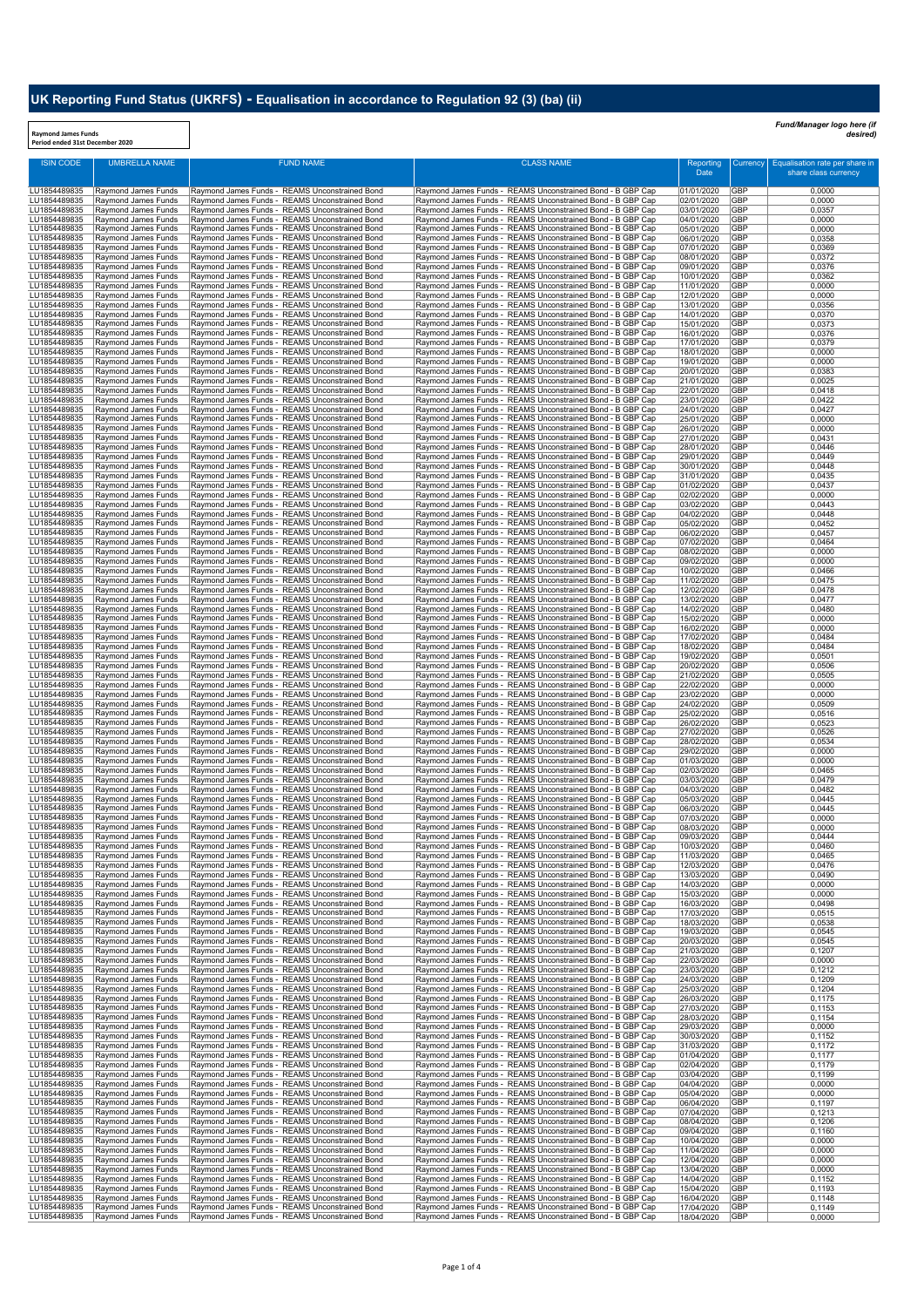## **UK Reporting Fund Status (UKRFS) - Equalisation in accordance to Regulation 92 (3) (ba) (ii)**

**Raymond James Funds Period ended 31st December 2020**

*Fund/Manager logo here (if desired)*

| <b>ISIN CODE</b>             | <b>UMBRELLA NAME</b>                       | <b>FUND NAME</b>                                                                                 | <b>CLASS NAME</b>                                                                                                        | Reporting<br><b>Date</b> | Currency                 | Equalisation rate per share in<br>share class currency |
|------------------------------|--------------------------------------------|--------------------------------------------------------------------------------------------------|--------------------------------------------------------------------------------------------------------------------------|--------------------------|--------------------------|--------------------------------------------------------|
| LU1854489835                 | Raymond James Funds                        | Raymond James Funds - REAMS Unconstrained Bond                                                   | Raymond James Funds - REAMS Unconstrained Bond - B GBP Cap                                                               | 01/01/2020               | GBP                      | 0,0000                                                 |
| LU1854489835<br>LU1854489835 | Raymond James Funds<br>Raymond James Funds | Raymond James Funds - REAMS Unconstrained Bond<br>Raymond James Funds - REAMS Unconstrained Bond | Raymond James Funds - REAMS Unconstrained Bond - B GBP Cap<br>Raymond James Funds - REAMS Unconstrained Bond - B GBP Cap | 02/01/2020<br>03/01/2020 | GBP<br>GBP               | 0,0000<br>0,0357                                       |
| LU1854489835                 | Raymond James Funds                        | Raymond James Funds - REAMS Unconstrained Bond                                                   | Raymond James Funds - REAMS Unconstrained Bond - B GBP Cap                                                               | 04/01/2020               | <b>GBP</b>               | 0,0000                                                 |
| LU1854489835<br>LU1854489835 | Raymond James Funds<br>Raymond James Funds | Raymond James Funds - REAMS Unconstrained Bond<br>Raymond James Funds - REAMS Unconstrained Bond | Raymond James Funds - REAMS Unconstrained Bond - B GBP Cap<br>Raymond James Funds - REAMS Unconstrained Bond - B GBP Cap | 05/01/2020<br>06/01/2020 | <b>GBP</b><br>GBP        | 0,0000<br>0,0358                                       |
| LU1854489835<br>LU1854489835 | Raymond James Funds<br>Raymond James Funds | Raymond James Funds - REAMS Unconstrained Bond<br>Raymond James Funds - REAMS Unconstrained Bond | Raymond James Funds - REAMS Unconstrained Bond - B GBP Cap<br>Raymond James Funds - REAMS Unconstrained Bond - B GBP Cap | 07/01/2020<br>08/01/2020 | GBP<br><b>GBP</b>        | 0,0369<br>0,0372                                       |
| LU1854489835                 | Raymond James Funds                        | Raymond James Funds - REAMS Unconstrained Bond                                                   | Raymond James Funds - REAMS Unconstrained Bond - B GBP Cap                                                               | 09/01/2020               | <b>GBP</b>               | 0,0376                                                 |
| LU1854489835<br>LU1854489835 | Raymond James Funds<br>Raymond James Funds | Raymond James Funds - REAMS Unconstrained Bond<br>Raymond James Funds - REAMS Unconstrained Bond | Raymond James Funds - REAMS Unconstrained Bond - B GBP Cap<br>Raymond James Funds - REAMS Unconstrained Bond - B GBP Cap | 10/01/2020<br>11/01/2020 | GBP<br><b>GBP</b>        | 0,0362<br>0,0000                                       |
| LU1854489835                 | Raymond James Funds                        | Raymond James Funds - REAMS Unconstrained Bond                                                   | Raymond James Funds - REAMS Unconstrained Bond - B GBP Cap                                                               | 12/01/2020               | <b>GBP</b>               | 0,0000                                                 |
| LU1854489835<br>LU1854489835 | Raymond James Funds<br>Raymond James Funds | Raymond James Funds - REAMS Unconstrained Bond<br>Raymond James Funds - REAMS Unconstrained Bond | Raymond James Funds - REAMS Unconstrained Bond - B GBP Cap<br>Raymond James Funds - REAMS Unconstrained Bond - B GBP Cap | 13/01/2020<br>14/01/2020 | <b>GBP</b><br>GBP        | 0,0356<br>0,0370                                       |
| LU1854489835<br>LU1854489835 | Raymond James Funds<br>Raymond James Funds | Raymond James Funds - REAMS Unconstrained Bond<br>Raymond James Funds - REAMS Unconstrained Bond | Raymond James Funds - REAMS Unconstrained Bond - B GBP Cap<br>Raymond James Funds - REAMS Unconstrained Bond - B GBP Cap | 15/01/2020<br>16/01/2020 | GBP<br><b>GBP</b>        | 0,0373<br>0,0376                                       |
| LU1854489835                 | Raymond James Funds                        | Raymond James Funds - REAMS Unconstrained Bond                                                   | Raymond James Funds - REAMS Unconstrained Bond - B GBP Cap                                                               | 17/01/2020               | <b>GBP</b>               | 0,0379                                                 |
| LU1854489835<br>LU1854489835 | Raymond James Funds<br>Raymond James Funds | Raymond James Funds - REAMS Unconstrained Bond<br>Raymond James Funds - REAMS Unconstrained Bond | Raymond James Funds - REAMS Unconstrained Bond - B GBP Cap<br>Raymond James Funds - REAMS Unconstrained Bond - B GBP Cap | 18/01/2020<br>19/01/2020 | <b>GBP</b><br><b>GBP</b> | 0,0000<br>0,0000                                       |
| LU1854489835<br>LU1854489835 | Raymond James Funds<br>Raymond James Funds | Raymond James Funds - REAMS Unconstrained Bond<br>Raymond James Funds - REAMS Unconstrained Bond | Raymond James Funds - REAMS Unconstrained Bond - B GBP Cap<br>Raymond James Funds - REAMS Unconstrained Bond - B GBP Cap | 20/01/2020<br>21/01/2020 | <b>GBP</b><br><b>GBP</b> | 0,0383<br>0,0025                                       |
| LU1854489835                 | Raymond James Funds                        | Raymond James Funds - REAMS Unconstrained Bond                                                   | Raymond James Funds - REAMS Unconstrained Bond - B GBP Cap                                                               | 22/01/2020               | <b>GBP</b>               | 0,0418                                                 |
| LU1854489835<br>LU1854489835 | Raymond James Funds<br>Raymond James Funds | Raymond James Funds - REAMS Unconstrained Bond<br>Raymond James Funds - REAMS Unconstrained Bond | Raymond James Funds - REAMS Unconstrained Bond - B GBP Cap<br>Raymond James Funds - REAMS Unconstrained Bond - B GBP Cap | 23/01/2020<br>24/01/2020 | <b>GBP</b><br><b>GBP</b> | 0,0422<br>0,0427                                       |
| LU1854489835<br>LU1854489835 | Raymond James Funds<br>Raymond James Funds | Raymond James Funds - REAMS Unconstrained Bond<br>Raymond James Funds - REAMS Unconstrained Bond | Raymond James Funds - REAMS Unconstrained Bond - B GBP Cap<br>Raymond James Funds - REAMS Unconstrained Bond - B GBP Cap | 25/01/2020<br>26/01/2020 | GBP<br><b>GBP</b>        | 0,0000<br>0,0000                                       |
| LU1854489835                 | Raymond James Funds                        | Raymond James Funds - REAMS Unconstrained Bond                                                   | Raymond James Funds - REAMS Unconstrained Bond - B GBP Cap                                                               | 27/01/2020               | GBP                      | 0,0431                                                 |
| LU1854489835<br>LU1854489835 | Raymond James Funds<br>Raymond James Funds | Raymond James Funds - REAMS Unconstrained Bond<br>Raymond James Funds - REAMS Unconstrained Bond | Raymond James Funds - REAMS Unconstrained Bond - B GBP Cap<br>Raymond James Funds - REAMS Unconstrained Bond - B GBP Cap | 28/01/2020<br>29/01/2020 | GBP<br><b>GBP</b>        | 0,0446<br>0,0449                                       |
| LU1854489835                 | Raymond James Funds                        | Raymond James Funds - REAMS Unconstrained Bond                                                   | Raymond James Funds - REAMS Unconstrained Bond - B GBP Cap                                                               | 30/01/2020               | <b>GBP</b>               | 0,0448                                                 |
| LU1854489835<br>LU1854489835 | Raymond James Funds<br>Raymond James Funds | Raymond James Funds - REAMS Unconstrained Bond<br>Raymond James Funds - REAMS Unconstrained Bond | Raymond James Funds - REAMS Unconstrained Bond - B GBP Cap<br>Raymond James Funds - REAMS Unconstrained Bond - B GBP Cap | 31/01/2020<br>01/02/2020 | <b>GBP</b><br><b>GBP</b> | 0,0435<br>0,0437                                       |
| LU1854489835<br>LU1854489835 | Raymond James Funds<br>Raymond James Funds | Raymond James Funds - REAMS Unconstrained Bond<br>Raymond James Funds - REAMS Unconstrained Bond | Raymond James Funds - REAMS Unconstrained Bond - B GBP Cap<br>Raymond James Funds - REAMS Unconstrained Bond - B GBP Cap | 02/02/2020<br>03/02/2020 | <b>GBP</b><br>GBP        | 0,0000<br>0,0443                                       |
| LU1854489835                 | Raymond James Funds                        | Raymond James Funds - REAMS Unconstrained Bond                                                   | Raymond James Funds - REAMS Unconstrained Bond - B GBP Cap                                                               | 04/02/2020               | GBP                      | 0,0448                                                 |
| LU1854489835<br>LU1854489835 | Raymond James Funds<br>Raymond James Funds | Raymond James Funds - REAMS Unconstrained Bond<br>Raymond James Funds - REAMS Unconstrained Bond | Raymond James Funds - REAMS Unconstrained Bond - B GBP Cap<br>Raymond James Funds - REAMS Unconstrained Bond - B GBP Cap | 05/02/2020<br>06/02/2020 | GBP<br><b>GBP</b>        | 0,0452<br>0,0457                                       |
| LU1854489835<br>LU1854489835 | Raymond James Funds<br>Raymond James Funds | Raymond James Funds - REAMS Unconstrained Bond<br>Raymond James Funds - REAMS Unconstrained Bond | Raymond James Funds - REAMS Unconstrained Bond - B GBP Cap<br>Raymond James Funds - REAMS Unconstrained Bond - B GBP Cap | 07/02/2020<br>08/02/2020 | <b>GBP</b><br>GBP        | 0,0464<br>0,0000                                       |
| LU1854489835                 | Raymond James Funds                        | Raymond James Funds - REAMS Unconstrained Bond                                                   | Raymond James Funds - REAMS Unconstrained Bond - B GBP Cap                                                               | 09/02/2020               | <b>GBP</b>               | 0,0000                                                 |
| LU1854489835<br>LU1854489835 | Raymond James Funds<br>Raymond James Funds | Raymond James Funds - REAMS Unconstrained Bond<br>Raymond James Funds - REAMS Unconstrained Bond | Raymond James Funds - REAMS Unconstrained Bond - B GBP Cap<br>Raymond James Funds - REAMS Unconstrained Bond - B GBP Cap | 10/02/2020<br>11/02/2020 | <b>GBP</b><br><b>GBP</b> | 0,0466<br>0,0475                                       |
| LU1854489835<br>LU1854489835 | Raymond James Funds<br>Raymond James Funds | Raymond James Funds - REAMS Unconstrained Bond<br>Raymond James Funds - REAMS Unconstrained Bond | Raymond James Funds - REAMS Unconstrained Bond - B GBP Cap<br>Raymond James Funds - REAMS Unconstrained Bond - B GBP Cap | 12/02/2020<br>13/02/2020 | GBP<br>GBP               | 0,0478<br>0,0477                                       |
| LU1854489835                 | Raymond James Funds                        | Raymond James Funds - REAMS Unconstrained Bond                                                   | Raymond James Funds - REAMS Unconstrained Bond - B GBP Cap                                                               | 14/02/2020               | <b>GBP</b>               | 0,0480                                                 |
| LU1854489835<br>LU1854489835 | Raymond James Funds<br>Raymond James Funds | Raymond James Funds - REAMS Unconstrained Bond<br>Raymond James Funds - REAMS Unconstrained Bond | Raymond James Funds - REAMS Unconstrained Bond - B GBP Cap<br>Raymond James Funds - REAMS Unconstrained Bond - B GBP Cap | 15/02/2020<br>16/02/2020 | GBP<br>GBP               | 0,0000<br>0,0000                                       |
| LU1854489835<br>LU1854489835 | Raymond James Funds<br>Raymond James Funds | Raymond James Funds - REAMS Unconstrained Bond<br>Raymond James Funds - REAMS Unconstrained Bond | Raymond James Funds - REAMS Unconstrained Bond - B GBP Cap<br>Raymond James Funds - REAMS Unconstrained Bond - B GBP Cap | 17/02/2020<br>18/02/2020 | GBP<br>GBP               | 0,0484<br>0,0484                                       |
| LU1854489835                 | Raymond James Funds                        | Raymond James Funds - REAMS Unconstrained Bond                                                   | Raymond James Funds - REAMS Unconstrained Bond - B GBP Cap                                                               | 19/02/2020               | GBP                      | 0,0501                                                 |
| LU1854489835<br>LU1854489835 | Raymond James Funds<br>Raymond James Funds | Raymond James Funds - REAMS Unconstrained Bond<br>Raymond James Funds - REAMS Unconstrained Bond | Raymond James Funds - REAMS Unconstrained Bond - B GBP Cap<br>Raymond James Funds - REAMS Unconstrained Bond - B GBP Cap | 20/02/2020<br>21/02/2020 | GBP<br>GBP               | 0,0506<br>0,0505                                       |
| LU1854489835<br>LU1854489835 | Raymond James Funds<br>Raymond James Funds | Raymond James Funds - REAMS Unconstrained Bond<br>Raymond James Funds - REAMS Unconstrained Bond | Raymond James Funds - REAMS Unconstrained Bond - B GBP Cap<br>Raymond James Funds - REAMS Unconstrained Bond - B GBP Cap | 22/02/2020<br>23/02/2020 | <b>GBP</b><br>GBP        | 0,0000<br>0,0000                                       |
| LU1854489835                 | Raymond James Funds                        | Raymond James Funds - REAMS Unconstrained Bond                                                   | Raymond James Funds - REAMS Unconstrained Bond - B GBP Cap                                                               | 24/02/2020               | <b>GBP</b>               | 0,0509                                                 |
| LU1854489835<br>LU1854489835 | Raymond James Funds<br>Raymond James Funds | Raymond James Funds - REAMS Unconstrained Bond<br>Raymond James Funds - REAMS Unconstrained Bond | Raymond James Funds - REAMS Unconstrained Bond - B GBP Cap<br>Raymond James Funds - REAMS Unconstrained Bond - B GBP Cap | 25/02/2020<br>26/02/2020 | GBP<br><b>GBP</b>        | 0,0516<br>0,0523                                       |
| LU1854489835<br>LU1854489835 | Raymond James Funds<br>Raymond James Funds | Raymond James Funds - REAMS Unconstrained Bond<br>Raymond James Funds - REAMS Unconstrained Bond | Raymond James Funds - REAMS Unconstrained Bond - B GBP Cap<br>Raymond James Funds - REAMS Unconstrained Bond - B GBP Cap | 27/02/2020<br>28/02/2020 | <b>GBP</b><br>GBP        | 0,0526<br>0,0534                                       |
| LU1854489835<br>LU1854489835 | Raymond James Funds<br>Raymond James Funds | Raymond James Funds - REAMS Unconstrained Bond<br>Raymond James Funds - REAMS Unconstrained Bond | Raymond James Funds - REAMS Unconstrained Bond - B GBP Cap<br>Raymond James Funds - REAMS Unconstrained Bond - B GBP Cap | 29/02/2020<br>01/03/2020 | <b>GBP</b><br><b>GBP</b> | 0,0000<br>0,0000                                       |
| LU1854489835                 | Raymond James Funds                        | Raymond James Funds - REAMS Unconstrained Bond                                                   | Raymond James Funds - REAMS Unconstrained Bond - B GBP Cap                                                               | 02/03/2020               | <b>GBP</b>               | 0,0465                                                 |
| LU1854489835<br>LU1854489835 | Raymond James Funds<br>Raymond James Funds | Raymond James Funds - REAMS Unconstrained Bond<br>Raymond James Funds - REAMS Unconstrained Bond | Raymond James Funds - REAMS Unconstrained Bond - B GBP Cap<br>Raymond James Funds - REAMS Unconstrained Bond - B GBP Cap | 03/03/2020<br>04/03/2020 | GBP<br>GBP               | 0,0479<br>0,0482                                       |
| LU1854489835<br>LU1854489835 | Raymond James Funds<br>Raymond James Funds | Raymond James Funds - REAMS Unconstrained Bond<br>Raymond James Funds - REAMS Unconstrained Bond | Raymond James Funds - REAMS Unconstrained Bond - B GBP Cap<br>Raymond James Funds - REAMS Unconstrained Bond - B GBP Cap | 05/03/2020<br>06/03/2020 | <b>GBP</b><br><b>GBP</b> | 0,0445<br>0,0445                                       |
| LU1854489835                 | Raymond James Funds                        | Raymond James Funds - REAMS Unconstrained Bond                                                   | Raymond James Funds - REAMS Unconstrained Bond - B GBP Cap                                                               | 07/03/2020               | <b>GBP</b>               | 0,0000                                                 |
| LU1854489835<br>LU1854489835 | Raymond James Funds<br>Raymond James Funds | Raymond James Funds - REAMS Unconstrained Bond<br>Raymond James Funds - REAMS Unconstrained Bond | Raymond James Funds - REAMS Unconstrained Bond - B GBP Cap<br>Raymond James Funds - REAMS Unconstrained Bond - B GBP Cap | 08/03/2020<br>09/03/2020 | GBP<br><b>GBP</b>        | 0,0000<br>0,0444                                       |
| LU1854489835<br>LU1854489835 | Raymond James Funds<br>Raymond James Funds | Raymond James Funds - REAMS Unconstrained Bond<br>Raymond James Funds - REAMS Unconstrained Bond | Raymond James Funds - REAMS Unconstrained Bond - B GBP Cap<br>Raymond James Funds - REAMS Unconstrained Bond - B GBP Cap | 10/03/2020<br>11/03/2020 | <b>GBP</b><br>GBP        | 0,0460<br>0,0465                                       |
| LU1854489835                 | Raymond James Funds                        | Raymond James Funds - REAMS Unconstrained Bond                                                   | Raymond James Funds - REAMS Unconstrained Bond - B GBP Cap                                                               | 12/03/2020               | GBP                      | 0,0476                                                 |
| LU1854489835<br>LU1854489835 | Raymond James Funds<br>Raymond James Funds | Raymond James Funds - REAMS Unconstrained Bond<br>Raymond James Funds - REAMS Unconstrained Bond | Raymond James Funds - REAMS Unconstrained Bond - B GBP Cap<br>Raymond James Funds - REAMS Unconstrained Bond - B GBP Cap | 13/03/2020<br>14/03/2020 | <b>GBP</b><br>GBP        | 0,0490<br>0,0000                                       |
| LU1854489835<br>LU1854489835 | Raymond James Funds<br>Raymond James Funds | Raymond James Funds - REAMS Unconstrained Bond<br>Raymond James Funds - REAMS Unconstrained Bond | Raymond James Funds - REAMS Unconstrained Bond - B GBP Cap<br>Raymond James Funds - REAMS Unconstrained Bond - B GBP Cap | 15/03/2020<br>16/03/2020 | GBP<br> GBP              | 0,0000<br>0,0498                                       |
| LU1854489835                 | Raymond James Funds                        | Raymond James Funds - REAMS Unconstrained Bond                                                   | Raymond James Funds - REAMS Unconstrained Bond - B GBP Cap                                                               | 17/03/2020               | GBP                      | 0,0515                                                 |
| LU1854489835<br>LU1854489835 | Raymond James Funds<br>Raymond James Funds | Raymond James Funds - REAMS Unconstrained Bond<br>Raymond James Funds - REAMS Unconstrained Bond | Raymond James Funds - REAMS Unconstrained Bond - B GBP Cap<br>Raymond James Funds - REAMS Unconstrained Bond - B GBP Cap | 18/03/2020<br>19/03/2020 | GBP<br>GBP               | 0,0538<br>0,0545                                       |
| LU1854489835<br>LU1854489835 | Raymond James Funds<br>Raymond James Funds | Raymond James Funds - REAMS Unconstrained Bond<br>Raymond James Funds - REAMS Unconstrained Bond | Raymond James Funds - REAMS Unconstrained Bond - B GBP Cap<br>Raymond James Funds - REAMS Unconstrained Bond - B GBP Cap | 20/03/2020<br>21/03/2020 | <b>GBP</b><br><b>GBP</b> | 0,0545<br>0,1207                                       |
| LU1854489835                 | Raymond James Funds                        | Raymond James Funds - REAMS Unconstrained Bond                                                   | Raymond James Funds - REAMS Unconstrained Bond - B GBP Cap                                                               | 22/03/2020               | <b>GBP</b>               | 0,0000                                                 |
| LU1854489835<br>LU1854489835 | Raymond James Funds<br>Raymond James Funds | Raymond James Funds - REAMS Unconstrained Bond<br>Raymond James Funds - REAMS Unconstrained Bond | Raymond James Funds - REAMS Unconstrained Bond - B GBP Cap<br>Raymond James Funds - REAMS Unconstrained Bond - B GBP Cap | 23/03/2020<br>24/03/2020 | GBP<br>GBP               | 0,1212<br>0,1209                                       |
| LU1854489835<br>LU1854489835 | Raymond James Funds<br>Raymond James Funds | Raymond James Funds - REAMS Unconstrained Bond<br>Raymond James Funds - REAMS Unconstrained Bond | Raymond James Funds - REAMS Unconstrained Bond - B GBP Cap<br>Raymond James Funds - REAMS Unconstrained Bond - B GBP Cap | 25/03/2020<br>26/03/2020 | GBP<br> GBP              | 0,1204<br>0,1175                                       |
| LU1854489835                 | Raymond James Funds                        | Raymond James Funds - REAMS Unconstrained Bond                                                   | Raymond James Funds - REAMS Unconstrained Bond - B GBP Cap                                                               | 27/03/2020               | GBP                      | 0,1153                                                 |
| LU1854489835<br>LU1854489835 | Raymond James Funds<br>Raymond James Funds | Raymond James Funds - REAMS Unconstrained Bond<br>Raymond James Funds - REAMS Unconstrained Bond | Raymond James Funds - REAMS Unconstrained Bond - B GBP Cap<br>Raymond James Funds - REAMS Unconstrained Bond - B GBP Cap | 28/03/2020<br>29/03/2020 | GBP<br> GBP              | 0,1154<br>0,0000                                       |
| LU1854489835<br>LU1854489835 | Raymond James Funds<br>Raymond James Funds | Raymond James Funds - REAMS Unconstrained Bond<br>Raymond James Funds - REAMS Unconstrained Bond | Raymond James Funds - REAMS Unconstrained Bond - B GBP Cap<br>Raymond James Funds - REAMS Unconstrained Bond - B GBP Cap | 30/03/2020<br>31/03/2020 | <b>GBP</b><br><b>GBP</b> | 0,1152<br>0,1172                                       |
| LU1854489835                 | Raymond James Funds                        | Raymond James Funds - REAMS Unconstrained Bond                                                   | Raymond James Funds - REAMS Unconstrained Bond - B GBP Cap                                                               | 01/04/2020               | <b>GBP</b>               | 0,1177                                                 |
| LU1854489835<br>LU1854489835 | Raymond James Funds<br>Raymond James Funds | Raymond James Funds - REAMS Unconstrained Bond<br>Raymond James Funds - REAMS Unconstrained Bond | Raymond James Funds - REAMS Unconstrained Bond - B GBP Cap<br>Raymond James Funds - REAMS Unconstrained Bond - B GBP Cap | 02/04/2020<br>03/04/2020 | GBP<br><b>GBP</b>        | 0,1179<br>0,1199                                       |
| LU1854489835<br>LU1854489835 | Raymond James Funds<br>Raymond James Funds | Raymond James Funds - REAMS Unconstrained Bond<br>Raymond James Funds - REAMS Unconstrained Bond | Raymond James Funds - REAMS Unconstrained Bond - B GBP Cap<br>Raymond James Funds - REAMS Unconstrained Bond - B GBP Cap | 04/04/2020<br>05/04/2020 | <b>GBP</b><br>GBP        | 0,0000<br>0,0000                                       |
| LU1854489835                 | Raymond James Funds                        | Raymond James Funds - REAMS Unconstrained Bond                                                   | Raymond James Funds - REAMS Unconstrained Bond - B GBP Cap                                                               | 06/04/2020               | GBP                      | 0,1197                                                 |
| LU1854489835<br>LU1854489835 | Raymond James Funds<br>Raymond James Funds | Raymond James Funds - REAMS Unconstrained Bond<br>Raymond James Funds - REAMS Unconstrained Bond | Raymond James Funds - REAMS Unconstrained Bond - B GBP Cap<br>Raymond James Funds - REAMS Unconstrained Bond - B GBP Cap | 07/04/2020<br>08/04/2020 | <b>GBP</b><br> GBP       | 0,1213<br>0,1206                                       |
| LU1854489835<br>LU1854489835 | Raymond James Funds<br>Raymond James Funds | Raymond James Funds - REAMS Unconstrained Bond<br>Raymond James Funds - REAMS Unconstrained Bond | Raymond James Funds - REAMS Unconstrained Bond - B GBP Cap<br>Raymond James Funds - REAMS Unconstrained Bond - B GBP Cap | 09/04/2020<br>10/04/2020 | GBP<br>GBP               | 0,1160<br>0,0000                                       |
| LU1854489835<br>LU1854489835 | Raymond James Funds<br>Raymond James Funds | Raymond James Funds - REAMS Unconstrained Bond<br>Raymond James Funds - REAMS Unconstrained Bond | Raymond James Funds - REAMS Unconstrained Bond - B GBP Cap<br>Raymond James Funds - REAMS Unconstrained Bond - B GBP Cap | 11/04/2020<br>12/04/2020 | <b>GBP</b><br><b>GBP</b> | 0,0000<br>0,0000                                       |
| LU1854489835                 | Raymond James Funds                        | Raymond James Funds - REAMS Unconstrained Bond                                                   | Raymond James Funds - REAMS Unconstrained Bond - B GBP Cap                                                               | 13/04/2020               | <b>GBP</b>               | 0,0000                                                 |
| LU1854489835<br>LU1854489835 | Raymond James Funds<br>Raymond James Funds | Raymond James Funds - REAMS Unconstrained Bond<br>Raymond James Funds - REAMS Unconstrained Bond | Ravmond James Funds - REAMS Unconstrained Bond - B GBP Cap<br>Raymond James Funds - REAMS Unconstrained Bond - B GBP Cap | 14/04/2020<br>15/04/2020 | <b>GBP</b><br><b>GBP</b> | 0,1152<br>0,1193                                       |
| LU1854489835<br>LU1854489835 | Raymond James Funds<br>Raymond James Funds | Raymond James Funds - REAMS Unconstrained Bond<br>Raymond James Funds - REAMS Unconstrained Bond | Raymond James Funds - REAMS Unconstrained Bond - B GBP Cap<br>Raymond James Funds - REAMS Unconstrained Bond - B GBP Cap | 16/04/2020<br>17/04/2020 | <b>GBP</b><br>GBP        | 0,1148<br>0,1149                                       |
| LU1854489835                 | Raymond James Funds                        | Raymond James Funds - REAMS Unconstrained Bond                                                   | Raymond James Funds - REAMS Unconstrained Bond - B GBP Cap                                                               | 18/04/2020               | GBP                      | 0,0000                                                 |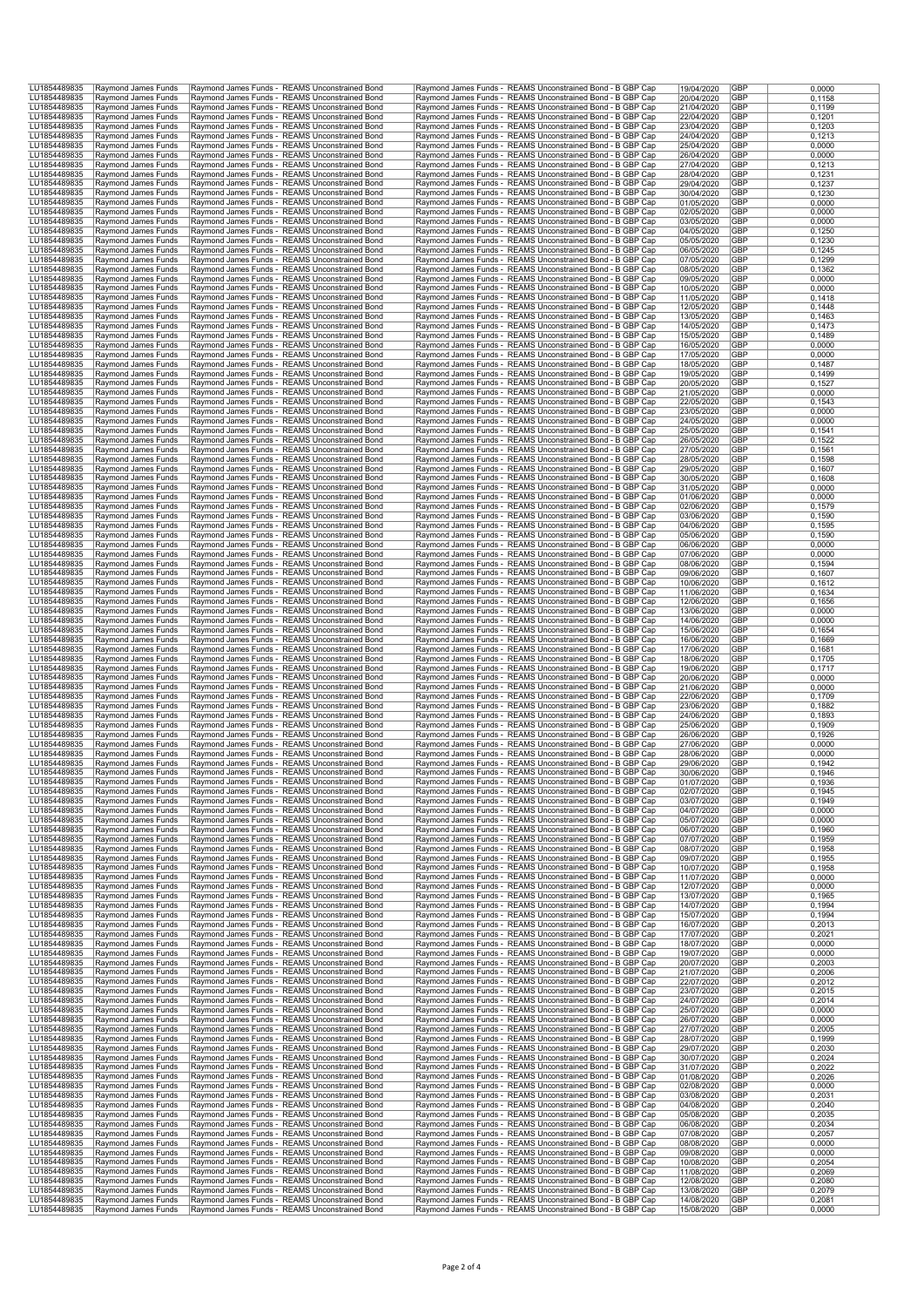| LU1854489835                 | Raymond James Funds                        | Raymond James Funds - REAMS Unconstrained Bond                                                   | Raymond James Funds - REAMS Unconstrained Bond - B GBP Cap                                                               | 19/04/2020<br><b>GBP</b>                             | 0,0000           |
|------------------------------|--------------------------------------------|--------------------------------------------------------------------------------------------------|--------------------------------------------------------------------------------------------------------------------------|------------------------------------------------------|------------------|
| LU1854489835                 | Raymond James Funds                        | Raymond James Funds - REAMS Unconstrained Bond                                                   | Raymond James Funds - REAMS Unconstrained Bond - B GBP Cap                                                               | 20/04/2020<br>GBP                                    | 0,1158           |
| LU1854489835                 | Raymond James Funds                        | Raymond James Funds - REAMS Unconstrained Bond                                                   | Raymond James Funds - REAMS Unconstrained Bond - B GBP Cap                                                               | 21/04/2020<br><b>GBP</b>                             | 0,1199           |
| LU1854489835                 | Raymond James Funds                        | Raymond James Funds - REAMS Unconstrained Bond                                                   | Raymond James Funds - REAMS Unconstrained Bond - B GBP Cap                                                               | 22/04/2020<br><b>GBP</b>                             | 0,1201           |
| LU1854489835<br>LU1854489835 | Raymond James Funds<br>Raymond James Funds | Raymond James Funds - REAMS Unconstrained Bond<br>Raymond James Funds - REAMS Unconstrained Bond | Raymond James Funds - REAMS Unconstrained Bond - B GBP Cap<br>Raymond James Funds - REAMS Unconstrained Bond - B GBP Cap | 23/04/2020<br><b>GBP</b><br>24/04/2020<br><b>GBP</b> | 0,1203<br>0,1213 |
| LU1854489835                 | Raymond James Funds                        | Raymond James Funds - REAMS Unconstrained Bond                                                   | Raymond James Funds - REAMS Unconstrained Bond - B GBP Cap                                                               | 25/04/2020<br><b>GBP</b>                             | 0,0000           |
| LU1854489835                 | Raymond James Funds                        | Raymond James Funds - REAMS Unconstrained Bond                                                   | Raymond James Funds - REAMS Unconstrained Bond - B GBP Cap                                                               | <b>GBP</b><br>26/04/2020                             | 0,0000           |
| LU1854489835                 | Raymond James Funds                        | Raymond James Funds - REAMS Unconstrained Bond                                                   | Raymond James Funds - REAMS Unconstrained Bond - B GBP Cap                                                               | 27/04/2020<br>GBP                                    | 0,1213           |
| LU1854489835                 | Raymond James Funds                        | Raymond James Funds - REAMS Unconstrained Bond                                                   | Raymond James Funds - REAMS Unconstrained Bond - B GBP Cap                                                               | <b>GBP</b><br>28/04/2020                             | 0,1231           |
| LU1854489835                 | Raymond James Funds                        | Raymond James Funds - REAMS Unconstrained Bond                                                   | Raymond James Funds - REAMS Unconstrained Bond - B GBP Cap                                                               | 29/04/2020<br>GBP                                    | 0,1237           |
| LU1854489835                 | Raymond James Funds                        | Raymond James Funds - REAMS Unconstrained Bond                                                   | Raymond James Funds - REAMS Unconstrained Bond - B GBP Cap                                                               | 30/04/2020<br><b>GBP</b>                             | 0,1230           |
| LU1854489835<br>LU1854489835 | Raymond James Funds<br>Raymond James Funds | Raymond James Funds - REAMS Unconstrained Bond<br>Raymond James Funds - REAMS Unconstrained Bond | Raymond James Funds - REAMS Unconstrained Bond - B GBP Cap<br>Raymond James Funds - REAMS Unconstrained Bond - B GBP Cap | 01/05/2020<br>GBP<br>02/05/2020<br>GBP               | 0,0000<br>0,0000 |
| LU1854489835                 | Raymond James Funds                        | Raymond James Funds - REAMS Unconstrained Bond                                                   | Raymond James Funds - REAMS Unconstrained Bond - B GBP Cap                                                               | 03/05/2020<br><b>GBP</b>                             | 0,0000           |
| LU1854489835                 | Raymond James Funds                        | Raymond James Funds - REAMS Unconstrained Bond                                                   | Raymond James Funds - REAMS Unconstrained Bond - B GBP Cap                                                               | 04/05/2020<br><b>GBP</b>                             | 0,1250           |
| LU1854489835                 | Raymond James Funds                        | Raymond James Funds - REAMS Unconstrained Bond                                                   | Raymond James Funds - REAMS Unconstrained Bond - B GBP Cap                                                               | 05/05/2020<br><b>GBP</b>                             | 0,1230           |
| LU1854489835                 | Raymond James Funds                        | Raymond James Funds - REAMS Unconstrained Bond                                                   | Raymond James Funds - REAMS Unconstrained Bond - B GBP Cap                                                               | 06/05/2020<br>GBP                                    | 0,1245           |
| LU1854489835<br>LU1854489835 | Raymond James Funds                        | Raymond James Funds - REAMS Unconstrained Bond                                                   | Raymond James Funds - REAMS Unconstrained Bond - B GBP Cap                                                               | 07/05/2020<br><b>GBP</b><br><b>GBP</b><br>08/05/2020 | 0,1299           |
| LU1854489835                 | Raymond James Funds<br>Raymond James Funds | Raymond James Funds - REAMS Unconstrained Bond<br>Raymond James Funds - REAMS Unconstrained Bond | Raymond James Funds - REAMS Unconstrained Bond - B GBP Cap<br>Raymond James Funds - REAMS Unconstrained Bond - B GBP Cap | GBP<br>09/05/2020                                    | 0,1362<br>0,0000 |
| LU1854489835                 | Raymond James Funds                        | Raymond James Funds - REAMS Unconstrained Bond                                                   | Raymond James Funds - REAMS Unconstrained Bond - B GBP Cap                                                               | <b>GBP</b><br>10/05/2020                             | 0,0000           |
| LU1854489835                 | Raymond James Funds                        | Raymond James Funds - REAMS Unconstrained Bond                                                   | Raymond James Funds - REAMS Unconstrained Bond - B GBP Cap                                                               | GBP<br>11/05/2020                                    | 0,1418           |
| LU1854489835                 | Raymond James Funds                        | Raymond James Funds - REAMS Unconstrained Bond                                                   | Raymond James Funds - REAMS Unconstrained Bond - B GBP Cap                                                               | 12/05/2020<br><b>GBP</b>                             | 0,1448           |
| LU1854489835                 | Raymond James Funds                        | Raymond James Funds - REAMS Unconstrained Bond                                                   | Raymond James Funds - REAMS Unconstrained Bond - B GBP Cap                                                               | 13/05/2020<br><b>GBP</b>                             | 0,1463           |
| LU1854489835<br>LU1854489835 | Raymond James Funds                        | Raymond James Funds - REAMS Unconstrained Bond<br>Raymond James Funds - REAMS Unconstrained Bond | Raymond James Funds - REAMS Unconstrained Bond - B GBP Cap<br>Raymond James Funds - REAMS Unconstrained Bond - B GBP Cap | 14/05/2020<br>GBP<br><b>GBP</b>                      | 0,1473           |
| LU1854489835                 | Raymond James Funds<br>Raymond James Funds | Raymond James Funds - REAMS Unconstrained Bond                                                   | Raymond James Funds - REAMS Unconstrained Bond - B GBP Cap                                                               | 15/05/2020<br>16/05/2020<br><b>GBP</b>               | 0,1489<br>0,0000 |
| LU1854489835                 | Raymond James Funds                        | Raymond James Funds - REAMS Unconstrained Bond                                                   | Raymond James Funds - REAMS Unconstrained Bond - B GBP Cap                                                               | 17/05/2020<br><b>GBP</b>                             | 0,0000           |
| LU1854489835                 | Raymond James Funds                        | Raymond James Funds - REAMS Unconstrained Bond                                                   | Raymond James Funds - REAMS Unconstrained Bond - B GBP Cap                                                               | 18/05/2020<br><b>GBP</b>                             | 0,1487           |
| LU1854489835                 | Raymond James Funds                        | Raymond James Funds - REAMS Unconstrained Bond                                                   | Raymond James Funds - REAMS Unconstrained Bond - B GBP Cap                                                               | 19/05/2020<br>GBP                                    | 0,1499           |
| LU1854489835                 | Raymond James Funds                        | Raymond James Funds - REAMS Unconstrained Bond                                                   | Raymond James Funds - REAMS Unconstrained Bond - B GBP Cap                                                               | <b>GBP</b><br>20/05/2020                             | 0,1527           |
| LU1854489835                 | Raymond James Funds                        | Raymond James Funds - REAMS Unconstrained Bond                                                   | Raymond James Funds - REAMS Unconstrained Bond - B GBP Cap                                                               | GBP<br>21/05/2020                                    | 0,0000           |
| LU1854489835<br>LU1854489835 | Raymond James Funds<br>Raymond James Funds | Raymond James Funds - REAMS Unconstrained Bond<br>Raymond James Funds - REAMS Unconstrained Bond | Raymond James Funds - REAMS Unconstrained Bond - B GBP Cap<br>Raymond James Funds - REAMS Unconstrained Bond - B GBP Cap | GBP<br>22/05/2020<br><b>GBP</b><br>23/05/2020        | 0,1543<br>0,0000 |
| LU1854489835                 | Raymond James Funds                        | Raymond James Funds - REAMS Unconstrained Bond                                                   | Raymond James Funds - REAMS Unconstrained Bond - B GBP Cap                                                               | 24/05/2020<br><b>GBP</b>                             | 0,0000           |
| LU1854489835                 | Raymond James Funds                        | Raymond James Funds - REAMS Unconstrained Bond                                                   | Raymond James Funds - REAMS Unconstrained Bond - B GBP Cap                                                               | 25/05/2020<br>GBP                                    | 0,1541           |
| LU1854489835                 | Raymond James Funds                        | Raymond James Funds - REAMS Unconstrained Bond                                                   | Raymond James Funds - REAMS Unconstrained Bond - B GBP Cap                                                               | 26/05/2020<br>GBP                                    | 0,1522           |
| LU1854489835                 | Raymond James Funds                        | Raymond James Funds - REAMS Unconstrained Bond                                                   | Raymond James Funds - REAMS Unconstrained Bond - B GBP Cap                                                               | <b>GBP</b><br>27/05/2020                             | 0,1561           |
| LU1854489835                 | Raymond James Funds                        | Raymond James Funds - REAMS Unconstrained Bond                                                   | Raymond James Funds - REAMS Unconstrained Bond - B GBP Cap                                                               | 28/05/2020<br><b>GBP</b>                             | 0,1598           |
| LU1854489835<br>LU1854489835 | Raymond James Funds<br>Raymond James Funds | Raymond James Funds - REAMS Unconstrained Bond<br>Raymond James Funds - REAMS Unconstrained Bond | Raymond James Funds - REAMS Unconstrained Bond - B GBP Cap<br>Raymond James Funds - REAMS Unconstrained Bond - B GBP Cap | <b>GBP</b><br>29/05/2020<br><b>GBP</b><br>30/05/2020 | 0,1607<br>0,1608 |
| LU1854489835                 | Raymond James Funds                        | Raymond James Funds - REAMS Unconstrained Bond                                                   | Raymond James Funds - REAMS Unconstrained Bond - B GBP Cap                                                               | 31/05/2020<br>GBP                                    | 0,0000           |
| LU1854489835                 | Raymond James Funds                        | Raymond James Funds - REAMS Unconstrained Bond                                                   | Raymond James Funds - REAMS Unconstrained Bond - B GBP Cap                                                               | 01/06/2020<br><b>GBP</b>                             | 0,0000           |
| LU1854489835                 | Raymond James Funds                        | Raymond James Funds - REAMS Unconstrained Bond                                                   | Raymond James Funds - REAMS Unconstrained Bond - B GBP Cap                                                               | <b>GBP</b><br>02/06/2020                             | 0,1579           |
| LU1854489835                 | Raymond James Funds                        | Raymond James Funds - REAMS Unconstrained Bond                                                   | Raymond James Funds - REAMS Unconstrained Bond - B GBP Cap                                                               | GBP<br>03/06/2020                                    | 0,1590           |
| LU1854489835                 | Raymond James Funds                        | Raymond James Funds - REAMS Unconstrained Bond                                                   | Raymond James Funds - REAMS Unconstrained Bond - B GBP Cap                                                               | <b>GBP</b><br>04/06/2020                             | 0,1595           |
| LU1854489835<br>LU1854489835 | Raymond James Funds<br>Raymond James Funds | Raymond James Funds - REAMS Unconstrained Bond<br>Raymond James Funds - REAMS Unconstrained Bond | Raymond James Funds - REAMS Unconstrained Bond - B GBP Cap<br>Raymond James Funds - REAMS Unconstrained Bond - B GBP Cap | GBP<br>05/06/2020<br>06/06/2020<br><b>GBP</b>        | 0,1590<br>0,0000 |
| LU1854489835                 | Raymond James Funds                        | Raymond James Funds - REAMS Unconstrained Bond                                                   | Raymond James Funds - REAMS Unconstrained Bond - B GBP Cap                                                               | 07/06/2020<br>GBP                                    | 0,0000           |
| LU1854489835                 | Raymond James Funds                        | Raymond James Funds - REAMS Unconstrained Bond                                                   | Raymond James Funds - REAMS Unconstrained Bond - B GBP Cap                                                               | 08/06/2020<br>GBP                                    | 0,1594           |
| LU1854489835                 | Raymond James Funds                        | Raymond James Funds - REAMS Unconstrained Bond                                                   | Raymond James Funds - REAMS Unconstrained Bond - B GBP Cap                                                               | 09/06/2020<br><b>GBP</b>                             | 0,1607           |
| LU1854489835                 | Raymond James Funds                        | Raymond James Funds - REAMS Unconstrained Bond                                                   | Raymond James Funds - REAMS Unconstrained Bond - B GBP Cap                                                               | 10/06/2020<br><b>GBP</b>                             | 0,1612           |
| LU1854489835                 | Raymond James Funds                        | Raymond James Funds - REAMS Unconstrained Bond                                                   | Raymond James Funds - REAMS Unconstrained Bond - B GBP Cap                                                               | 11/06/2020<br><b>GBP</b>                             | 0,1634           |
| LU1854489835<br>LU1854489835 | Raymond James Funds<br>Raymond James Funds | Raymond James Funds - REAMS Unconstrained Bond<br>Raymond James Funds - REAMS Unconstrained Bond | Raymond James Funds - REAMS Unconstrained Bond - B GBP Cap<br>Raymond James Funds - REAMS Unconstrained Bond - B GBP Cap | 12/06/2020<br><b>GBP</b><br>13/06/2020<br><b>GBP</b> | 0,1656<br>0,0000 |
| LU1854489835                 | Raymond James Funds                        | Raymond James Funds - REAMS Unconstrained Bond                                                   | Raymond James Funds - REAMS Unconstrained Bond - B GBP Cap                                                               | <b>GBP</b><br>14/06/2020                             | 0,0000           |
| LU1854489835                 | Raymond James Funds                        | Raymond James Funds - REAMS Unconstrained Bond                                                   | Raymond James Funds - REAMS Unconstrained Bond - B GBP Cap                                                               | GBP<br>15/06/2020                                    | 0,1654           |
| LU1854489835                 | Raymond James Funds                        | Raymond James Funds - REAMS Unconstrained Bond                                                   | Raymond James Funds - REAMS Unconstrained Bond - B GBP Cap                                                               | <b>GBP</b><br>16/06/2020                             | 0,1669           |
| LU1854489835                 | Raymond James Funds                        | Raymond James Funds - REAMS Unconstrained Bond                                                   | Raymond James Funds - REAMS Unconstrained Bond - B GBP Cap                                                               | GBP<br>17/06/2020                                    | 0,1681           |
| LU1854489835<br>LU1854489835 | Raymond James Funds<br>Raymond James Funds | Raymond James Funds - REAMS Unconstrained Bond<br>Raymond James Funds - REAMS Unconstrained Bond | Raymond James Funds - REAMS Unconstrained Bond - B GBP Cap<br>Raymond James Funds - REAMS Unconstrained Bond - B GBP Cap | 18/06/2020<br><b>GBP</b><br>19/06/2020<br>GBP        | 0,1705<br>0,1717 |
| LU1854489835                 | Raymond James Funds                        | Raymond James Funds - REAMS Unconstrained Bond                                                   | Raymond James Funds - REAMS Unconstrained Bond - B GBP Cap                                                               | 20/06/2020<br>GBP                                    | 0,0000           |
| LU1854489835                 | Raymond James Funds                        | Raymond James Funds - REAMS Unconstrained Bond                                                   | Raymond James Funds - REAMS Unconstrained Bond - B GBP Cap                                                               | 21/06/2020<br>GBP                                    | 0,0000           |
| LU1854489835                 | Raymond James Funds                        | Raymond James Funds - REAMS Unconstrained Bond                                                   | Raymond James Funds - REAMS Unconstrained Bond - B GBP Cap                                                               | 22/06/2020<br>GBP                                    | 0,1709           |
| LU1854489835                 | Raymond James Funds                        | Raymond James Funds - REAMS Unconstrained Bond                                                   | Raymond James Funds - REAMS Unconstrained Bond - B GBP Cap                                                               | 23/06/2020<br>GBP                                    | 0,1882           |
| LU1854489835                 | Raymond James Funds                        | Raymond James Funds - REAMS Unconstrained Bond                                                   | Raymond James Funds - REAMS Unconstrained Bond - B GBP Cap                                                               | 24/06/2020<br><b>GBP</b>                             | 0,1893           |
| LU1854489835<br>LU1854489835 | Raymond James Funds                        | Raymond James Funds - REAMS Unconstrained Bond<br>Raymond James Funds - REAMS Unconstrained Bond | Raymond James Funds - REAMS Unconstrained Bond - B GBP Cap<br>Raymond James Funds - REAMS Unconstrained Bond - B GBP Cap | <b>GBP</b><br>25/06/2020<br><b>GBP</b>               | 0,1909           |
| LU1854489835                 | Raymond James Funds<br>Raymond James Funds | Raymond James Funds - REAMS Unconstrained Bond                                                   | Raymond James Funds - REAMS Unconstrained Bond - B GBP Cap                                                               | 26/06/2020<br>GBP<br>27/06/2020                      | 0,1926<br>0,0000 |
| LU1854489835                 | Raymond James Funds                        | Raymond James Funds - REAMS Unconstrained Bond                                                   | Raymond James Funds - REAMS Unconstrained Bond - B GBP Cap                                                               | GBP<br>28/06/2020                                    | 0,0000           |
| LU1854489835                 | Raymond James Funds                        | Raymond James Funds - REAMS Unconstrained Bond                                                   | Raymond James Funds - REAMS Unconstrained Bond - B GBP Cap                                                               | GBP<br>29/06/2020                                    | 0,1942           |
| LU1854489835                 | Raymond James Funds                        | Raymond James Funds - REAMS Unconstrained Bond                                                   | Raymond James Funds - REAMS Unconstrained Bond - B GBP Cap                                                               | 30/06/2020<br>GBP                                    | 0,1946           |
| LU1854489835                 | Raymond James Funds                        | Raymond James Funds - REAMS Unconstrained Bond                                                   | Raymond James Funds - REAMS Unconstrained Bond - B GBP Cap                                                               | 01/07/2020<br> GBP                                   | 0,1936           |
| LU1854489835<br>LU1854489835 | Raymond James Funds<br>Raymond James Funds | Raymond James Funds - REAMS Unconstrained Bond<br>Raymond James Funds - REAMS Unconstrained Bond | Raymond James Funds - REAMS Unconstrained Bond - B GBP Cap<br>Raymond James Funds - REAMS Unconstrained Bond - B GBP Cap | 02/07/2020<br><b>GBP</b>                             | 0,1945<br>0,1949 |
| LU1854489835                 | Raymond James Funds                        | Raymond James Funds - REAMS Unconstrained Bond                                                   | Raymond James Funds - REAMS Unconstrained Bond - B GBP Cap                                                               | 03/07/2020<br><b>GBP</b><br>04/07/2020<br>GBP        | 0,0000           |
| LU1854489835                 | Raymond James Funds                        | Raymond James Funds - REAMS Unconstrained Bond                                                   | Raymond James Funds - REAMS Unconstrained Bond - B GBP Cap                                                               | 05/07/2020<br>GBP                                    | 0,0000           |
| LU1854489835                 | Raymond James Funds                        | Raymond James Funds - REAMS Unconstrained Bond                                                   | Raymond James Funds - REAMS Unconstrained Bond - B GBP Cap                                                               | 06/07/2020<br><b>GBP</b>                             | 0,1960           |
| LU1854489835                 | Raymond James Funds                        | Raymond James Funds - REAMS Unconstrained Bond                                                   | Raymond James Funds - REAMS Unconstrained Bond - B GBP Cap                                                               | 07/07/2020<br><b>GBP</b>                             | 0,1959           |
| LU1854489835                 | Raymond James Funds                        | Raymond James Funds - REAMS Unconstrained Bond                                                   | Raymond James Funds - REAMS Unconstrained Bond - B GBP Cap                                                               | 08/07/2020<br><b>GBP</b>                             | 0,1958           |
| LU1854489835<br>LU1854489835 | Raymond James Funds                        | Raymond James Funds - REAMS Unconstrained Bond<br>Raymond James Funds - REAMS Unconstrained Bond | Raymond James Funds - REAMS Unconstrained Bond - B GBP Cap<br>Raymond James Funds - REAMS Unconstrained Bond - B GBP Cap | 09/07/2020<br><b>GBP</b><br>10/07/2020<br><b>GBP</b> | 0,1955<br>0,1958 |
| LU1854489835                 | Raymond James Funds<br>Raymond James Funds | Raymond James Funds - REAMS Unconstrained Bond                                                   | Raymond James Funds - REAMS Unconstrained Bond - B GBP Cap                                                               | 11/07/2020<br><b>GBP</b>                             | 0,0000           |
| LU1854489835                 | Raymond James Funds                        | Raymond James Funds - REAMS Unconstrained Bond                                                   | Raymond James Funds - REAMS Unconstrained Bond - B GBP Cap                                                               | <b>GBP</b><br>12/07/2020                             | 0,0000           |
| LU1854489835                 | Raymond James Funds                        | Raymond James Funds - REAMS Unconstrained Bond                                                   | Raymond James Funds - REAMS Unconstrained Bond - B GBP Cap                                                               | 13/07/2020<br><b>GBP</b>                             | 0,1965           |
| LU1854489835                 | Raymond James Funds                        | Raymond James Funds - REAMS Unconstrained Bond                                                   | Raymond James Funds - REAMS Unconstrained Bond - B GBP Cap                                                               | 14/07/2020<br><b>GBP</b>                             | 0,1994           |
| LU1854489835<br>LU1854489835 | Raymond James Funds<br>Raymond James Funds | Raymond James Funds - REAMS Unconstrained Bond<br>Raymond James Funds - REAMS Unconstrained Bond | Raymond James Funds - REAMS Unconstrained Bond - B GBP Cap<br>Raymond James Funds - REAMS Unconstrained Bond - B GBP Cap | 15/07/2020<br><b>GBP</b><br>16/07/2020               | 0,1994<br>0,2013 |
| LU1854489835                 | Raymond James Funds                        | Raymond James Funds - REAMS Unconstrained Bond                                                   | Raymond James Funds - REAMS Unconstrained Bond - B GBP Cap                                                               | <b>GBP</b><br>17/07/2020<br>GBP                      | 0,2021           |
| LU1854489835                 | Raymond James Funds                        | Raymond James Funds - REAMS Unconstrained Bond                                                   | Raymond James Funds - REAMS Unconstrained Bond - B GBP Cap                                                               | 18/07/2020<br>GBP                                    | 0,0000           |
| LU1854489835                 | Raymond James Funds                        | Raymond James Funds - REAMS Unconstrained Bond                                                   | Raymond James Funds - REAMS Unconstrained Bond - B GBP Cap                                                               | 19/07/2020<br><b>GBP</b>                             | 0,0000           |
| LU1854489835                 | Raymond James Funds                        | Raymond James Funds - REAMS Unconstrained Bond                                                   | Raymond James Funds - REAMS Unconstrained Bond - B GBP Cap                                                               | 20/07/2020<br><b>GBP</b>                             | 0,2003           |
| LU1854489835                 | Raymond James Funds                        | Raymond James Funds - REAMS Unconstrained Bond                                                   | Raymond James Funds - REAMS Unconstrained Bond - B GBP Cap                                                               | <b>GBP</b><br>21/07/2020                             | 0,2006           |
| LU1854489835<br>LU1854489835 | Raymond James Funds<br>Raymond James Funds | Raymond James Funds - REAMS Unconstrained Bond<br>Raymond James Funds - REAMS Unconstrained Bond | Raymond James Funds - REAMS Unconstrained Bond - B GBP Cap<br>Raymond James Funds - REAMS Unconstrained Bond - B GBP Cap | 22/07/2020<br>GBP<br>23/07/2020<br>GBP               | 0,2012<br>0,2015 |
| LU1854489835                 | Raymond James Funds                        | Raymond James Funds - REAMS Unconstrained Bond                                                   | Raymond James Funds - REAMS Unconstrained Bond - B GBP Cap                                                               | 24/07/2020<br>GBP                                    | 0,2014           |
| LU1854489835                 | Raymond James Funds                        | Raymond James Funds - REAMS Unconstrained Bond                                                   | Raymond James Funds - REAMS Unconstrained Bond - B GBP Cap                                                               | 25/07/2020<br>GBP                                    | 0,0000           |
| LU1854489835                 | Raymond James Funds                        | Raymond James Funds - REAMS Unconstrained Bond                                                   | Raymond James Funds - REAMS Unconstrained Bond - B GBP Cap                                                               | 26/07/2020<br>GBP                                    | 0,0000           |
| LU1854489835                 | Raymond James Funds                        | Raymond James Funds - REAMS Unconstrained Bond                                                   | Raymond James Funds - REAMS Unconstrained Bond - B GBP Cap                                                               | 27/07/2020<br>GBP                                    | 0,2005           |
| LU1854489835                 | Raymond James Funds<br>Raymond James Funds | Raymond James Funds - REAMS Unconstrained Bond<br>Raymond James Funds - REAMS Unconstrained Bond | Raymond James Funds - REAMS Unconstrained Bond - B GBP Cap<br>Raymond James Funds - REAMS Unconstrained Bond - B GBP Cap | 28/07/2020<br>GBP                                    | 0,1999           |
| LU1854489835<br>LU1854489835 | Raymond James Funds                        | Raymond James Funds - REAMS Unconstrained Bond                                                   | Raymond James Funds - REAMS Unconstrained Bond - B GBP Cap                                                               | 29/07/2020<br>GBP<br>30/07/2020<br>GBP               | 0,2030<br>0,2024 |
| LU1854489835                 | Raymond James Funds                        | Raymond James Funds - REAMS Unconstrained Bond                                                   | Raymond James Funds - REAMS Unconstrained Bond - B GBP Cap                                                               | 31/07/2020<br>GBP                                    | 0,2022           |
| LU1854489835                 | Raymond James Funds                        | Raymond James Funds - REAMS Unconstrained Bond                                                   | Raymond James Funds - REAMS Unconstrained Bond - B GBP Cap                                                               | 01/08/2020<br><b>GBP</b>                             | 0,2026           |
| LU1854489835                 | Raymond James Funds                        | Raymond James Funds - REAMS Unconstrained Bond                                                   | Raymond James Funds - REAMS Unconstrained Bond - B GBP Cap                                                               | 02/08/2020<br><b>GBP</b>                             | 0,0000           |
| LU1854489835                 | Raymond James Funds                        | Raymond James Funds - REAMS Unconstrained Bond                                                   | Raymond James Funds - REAMS Unconstrained Bond - B GBP Cap                                                               | 03/08/2020<br>GBP                                    | 0,2031           |
| LU1854489835<br>LU1854489835 | Raymond James Funds<br>Raymond James Funds | Raymond James Funds - REAMS Unconstrained Bond<br>Raymond James Funds - REAMS Unconstrained Bond | Raymond James Funds - REAMS Unconstrained Bond - B GBP Cap<br>Raymond James Funds - REAMS Unconstrained Bond - B GBP Cap | 04/08/2020<br>GBP<br>05/08/2020<br>GBP               | 0,2040<br>0,2035 |
| LU1854489835                 | Raymond James Funds                        | Raymond James Funds - REAMS Unconstrained Bond                                                   | Raymond James Funds - REAMS Unconstrained Bond - B GBP Cap                                                               | 06/08/2020<br>GBP                                    | 0,2034           |
| LU1854489835                 | Raymond James Funds                        | Raymond James Funds - REAMS Unconstrained Bond                                                   | Raymond James Funds - REAMS Unconstrained Bond - B GBP Cap                                                               | 07/08/2020<br>GBP                                    | 0,2057           |
| LU1854489835                 | Raymond James Funds                        | Raymond James Funds - REAMS Unconstrained Bond                                                   | Raymond James Funds - REAMS Unconstrained Bond - B GBP Cap                                                               | 08/08/2020<br>GBP                                    | 0,0000           |
| LU1854489835                 | Raymond James Funds                        | Raymond James Funds - REAMS Unconstrained Bond                                                   | Raymond James Funds - REAMS Unconstrained Bond - B GBP Cap                                                               | 09/08/2020<br><b>GBP</b>                             | 0,0000           |
| LU1854489835                 | Raymond James Funds<br>Raymond James Funds | Raymond James Funds - REAMS Unconstrained Bond<br>Raymond James Funds - REAMS Unconstrained Bond | Raymond James Funds - REAMS Unconstrained Bond - B GBP Cap                                                               | 10/08/2020<br><b>GBP</b>                             | 0,2054           |
| LU1854489835<br>LU1854489835 | Raymond James Funds                        | Raymond James Funds - REAMS Unconstrained Bond                                                   | Raymond James Funds - REAMS Unconstrained Bond - B GBP Cap<br>Raymond James Funds - REAMS Unconstrained Bond - B GBP Cap | 11/08/2020<br><b>GBP</b><br>12/08/2020<br>GBP        | 0,2069<br>0,2080 |
| LU1854489835                 | Raymond James Funds                        | Raymond James Funds - REAMS Unconstrained Bond                                                   | Raymond James Funds - REAMS Unconstrained Bond - B GBP Cap                                                               | 13/08/2020<br>GBP                                    | 0,2079           |
| LU1854489835                 | Raymond James Funds                        | Raymond James Funds - REAMS Unconstrained Bond                                                   | Raymond James Funds - REAMS Unconstrained Bond - B GBP Cap                                                               | 14/08/2020<br><b>GBP</b>                             | 0,2081           |
| LU1854489835                 | Raymond James Funds                        | Raymond James Funds - REAMS Unconstrained Bond                                                   | Raymond James Funds - REAMS Unconstrained Bond - B GBP Cap                                                               | <b>GBP</b><br>15/08/2020                             | 0,0000           |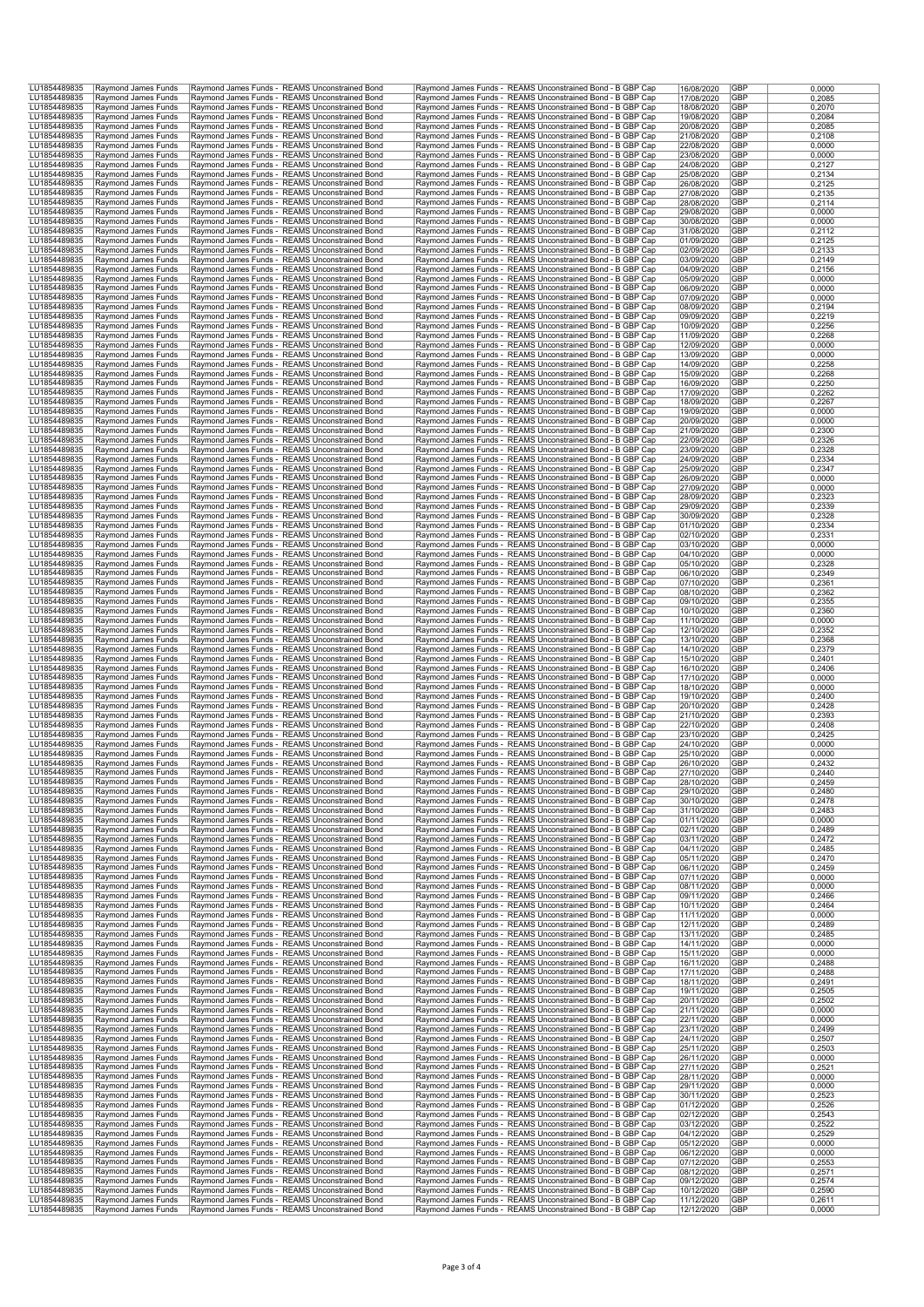| LU1854489835                                                                                                                                                                                                                                                                                                                                                                                                                                                                                                                                                                                                                 | Raymond James Funds                        | Raymond James Funds - REAMS Unconstrained Bond                                                   | Raymond James Funds - REAMS Unconstrained Bond - B GBP Cap                                                               | 16/08/2020<br><b>GBP</b>                             | 0,0000           |
|------------------------------------------------------------------------------------------------------------------------------------------------------------------------------------------------------------------------------------------------------------------------------------------------------------------------------------------------------------------------------------------------------------------------------------------------------------------------------------------------------------------------------------------------------------------------------------------------------------------------------|--------------------------------------------|--------------------------------------------------------------------------------------------------|--------------------------------------------------------------------------------------------------------------------------|------------------------------------------------------|------------------|
|                                                                                                                                                                                                                                                                                                                                                                                                                                                                                                                                                                                                                              | Raymond James Funds                        | Raymond James Funds - REAMS Unconstrained Bond                                                   | Raymond James Funds - REAMS Unconstrained Bond - B GBP Cap                                                               | GBP<br>17/08/2020                                    | 0,2085           |
| LU1854489835                                                                                                                                                                                                                                                                                                                                                                                                                                                                                                                                                                                                                 | Raymond James Funds                        | Raymond James Funds - REAMS Unconstrained Bond                                                   | Raymond James Funds - REAMS Unconstrained Bond - B GBP Cap                                                               | 18/08/2020<br><b>GBP</b>                             | 0,2070           |
| LU1854489835                                                                                                                                                                                                                                                                                                                                                                                                                                                                                                                                                                                                                 | Raymond James Funds                        | Raymond James Funds - REAMS Unconstrained Bond                                                   | Raymond James Funds - REAMS Unconstrained Bond - B GBP Cap                                                               | 19/08/2020<br><b>GBP</b>                             | 0,2084           |
| LU1854489835<br>LU1854489835                                                                                                                                                                                                                                                                                                                                                                                                                                                                                                                                                                                                 | Raymond James Funds<br>Raymond James Funds | Raymond James Funds - REAMS Unconstrained Bond<br>Raymond James Funds - REAMS Unconstrained Bond | Raymond James Funds - REAMS Unconstrained Bond - B GBP Cap<br>Raymond James Funds - REAMS Unconstrained Bond - B GBP Cap | 20/08/2020<br><b>GBP</b><br>21/08/2020<br><b>GBP</b> | 0,2085<br>0,2108 |
| LU1854489835                                                                                                                                                                                                                                                                                                                                                                                                                                                                                                                                                                                                                 | Raymond James Funds                        | Raymond James Funds - REAMS Unconstrained Bond                                                   | Raymond James Funds - REAMS Unconstrained Bond - B GBP Cap                                                               | 22/08/2020<br><b>GBP</b>                             | 0,0000           |
| LU1854489835                                                                                                                                                                                                                                                                                                                                                                                                                                                                                                                                                                                                                 | Raymond James Funds                        | Raymond James Funds - REAMS Unconstrained Bond                                                   | Raymond James Funds - REAMS Unconstrained Bond - B GBP Cap                                                               | <b>GBP</b><br>23/08/2020                             | 0,0000           |
| LU1854489835                                                                                                                                                                                                                                                                                                                                                                                                                                                                                                                                                                                                                 | Raymond James Funds                        | Raymond James Funds - REAMS Unconstrained Bond                                                   | Raymond James Funds - REAMS Unconstrained Bond - B GBP Cap                                                               | 24/08/2020<br>GBP                                    | 0,2127           |
| LU1854489835                                                                                                                                                                                                                                                                                                                                                                                                                                                                                                                                                                                                                 | Raymond James Funds                        | Raymond James Funds - REAMS Unconstrained Bond                                                   | Raymond James Funds - REAMS Unconstrained Bond - B GBP Cap                                                               | <b>GBP</b><br>25/08/2020                             | 0,2134           |
| LU1854489835                                                                                                                                                                                                                                                                                                                                                                                                                                                                                                                                                                                                                 | Raymond James Funds                        | Raymond James Funds - REAMS Unconstrained Bond                                                   | Raymond James Funds - REAMS Unconstrained Bond - B GBP Cap                                                               | GBP<br>26/08/2020                                    | 0,2125           |
| LU1854489835<br>LU1854489835                                                                                                                                                                                                                                                                                                                                                                                                                                                                                                                                                                                                 | Raymond James Funds<br>Raymond James Funds | Raymond James Funds - REAMS Unconstrained Bond<br>Raymond James Funds - REAMS Unconstrained Bond | Raymond James Funds - REAMS Unconstrained Bond - B GBP Cap<br>Raymond James Funds - REAMS Unconstrained Bond - B GBP Cap | 27/08/2020<br><b>GBP</b><br>28/08/2020<br>GBP        | 0,2135<br>0,2114 |
| LU1854489835                                                                                                                                                                                                                                                                                                                                                                                                                                                                                                                                                                                                                 | Raymond James Funds                        | Raymond James Funds - REAMS Unconstrained Bond                                                   | Raymond James Funds - REAMS Unconstrained Bond - B GBP Cap                                                               | 29/08/2020<br>GBP                                    | 0,0000           |
| LU1854489835                                                                                                                                                                                                                                                                                                                                                                                                                                                                                                                                                                                                                 | Raymond James Funds                        | Raymond James Funds - REAMS Unconstrained Bond                                                   | Raymond James Funds - REAMS Unconstrained Bond - B GBP Cap                                                               | <b>GBP</b><br>30/08/2020                             | 0,0000           |
| LU1854489835                                                                                                                                                                                                                                                                                                                                                                                                                                                                                                                                                                                                                 | Raymond James Funds                        | Raymond James Funds - REAMS Unconstrained Bond                                                   | Raymond James Funds - REAMS Unconstrained Bond - B GBP Cap                                                               | 31/08/2020<br><b>GBP</b>                             | 0,2112           |
| LU1854489835                                                                                                                                                                                                                                                                                                                                                                                                                                                                                                                                                                                                                 | Raymond James Funds                        | Raymond James Funds - REAMS Unconstrained Bond                                                   | Raymond James Funds - REAMS Unconstrained Bond - B GBP Cap                                                               | 01/09/2020<br><b>GBP</b>                             | 0,2125           |
| LU1854489835                                                                                                                                                                                                                                                                                                                                                                                                                                                                                                                                                                                                                 | Raymond James Funds                        | Raymond James Funds - REAMS Unconstrained Bond                                                   | Raymond James Funds - REAMS Unconstrained Bond - B GBP Cap                                                               | 02/09/2020<br>GBP                                    | 0,2133           |
| LU1854489835<br>LU1854489835                                                                                                                                                                                                                                                                                                                                                                                                                                                                                                                                                                                                 | Raymond James Funds                        | Raymond James Funds - REAMS Unconstrained Bond<br>Raymond James Funds - REAMS Unconstrained Bond | Raymond James Funds - REAMS Unconstrained Bond - B GBP Cap<br>Raymond James Funds - REAMS Unconstrained Bond - B GBP Cap | 03/09/2020<br><b>GBP</b><br><b>GBP</b><br>04/09/2020 | 0,2149           |
| LU1854489835                                                                                                                                                                                                                                                                                                                                                                                                                                                                                                                                                                                                                 | Raymond James Funds<br>Raymond James Funds | Raymond James Funds - REAMS Unconstrained Bond                                                   | Raymond James Funds - REAMS Unconstrained Bond - B GBP Cap                                                               | GBP<br>05/09/2020                                    | 0,2156<br>0,0000 |
| LU1854489835                                                                                                                                                                                                                                                                                                                                                                                                                                                                                                                                                                                                                 | Raymond James Funds                        | Raymond James Funds - REAMS Unconstrained Bond                                                   | Raymond James Funds - REAMS Unconstrained Bond - B GBP Cap                                                               | <b>GBP</b><br>06/09/2020                             | 0,0000           |
| LU1854489835                                                                                                                                                                                                                                                                                                                                                                                                                                                                                                                                                                                                                 | Raymond James Funds                        | Raymond James Funds - REAMS Unconstrained Bond                                                   | Raymond James Funds - REAMS Unconstrained Bond - B GBP Cap                                                               | GBP<br>07/09/2020                                    | 0,0000           |
| LU1854489835                                                                                                                                                                                                                                                                                                                                                                                                                                                                                                                                                                                                                 | Raymond James Funds                        | Raymond James Funds - REAMS Unconstrained Bond                                                   | Raymond James Funds - REAMS Unconstrained Bond - B GBP Cap                                                               | 08/09/2020<br><b>GBP</b>                             | 0,2194           |
| LU1854489835                                                                                                                                                                                                                                                                                                                                                                                                                                                                                                                                                                                                                 | Raymond James Funds                        | Raymond James Funds - REAMS Unconstrained Bond                                                   | Raymond James Funds - REAMS Unconstrained Bond - B GBP Cap                                                               | 09/09/2020<br><b>GBP</b>                             | 0,2219           |
| LU1854489835<br>LU1854489835                                                                                                                                                                                                                                                                                                                                                                                                                                                                                                                                                                                                 | Raymond James Funds                        | Raymond James Funds - REAMS Unconstrained Bond<br>Raymond James Funds - REAMS Unconstrained Bond | Raymond James Funds - REAMS Unconstrained Bond - B GBP Cap<br>Raymond James Funds - REAMS Unconstrained Bond - B GBP Cap | 10/09/2020<br>GBP<br>11/09/2020<br><b>GBP</b>        | 0,2256           |
| LU1854489835                                                                                                                                                                                                                                                                                                                                                                                                                                                                                                                                                                                                                 | Raymond James Funds<br>Raymond James Funds | Raymond James Funds - REAMS Unconstrained Bond                                                   | Raymond James Funds - REAMS Unconstrained Bond - B GBP Cap                                                               | 12/09/2020<br><b>GBP</b>                             | 0,2268<br>0,0000 |
| LU1854489835                                                                                                                                                                                                                                                                                                                                                                                                                                                                                                                                                                                                                 | Raymond James Funds                        | Raymond James Funds - REAMS Unconstrained Bond                                                   | Raymond James Funds - REAMS Unconstrained Bond - B GBP Cap                                                               | 13/09/2020<br><b>GBP</b>                             | 0,0000           |
| LU1854489835                                                                                                                                                                                                                                                                                                                                                                                                                                                                                                                                                                                                                 | Raymond James Funds                        | Raymond James Funds - REAMS Unconstrained Bond                                                   | Raymond James Funds - REAMS Unconstrained Bond - B GBP Cap                                                               | 14/09/2020<br><b>GBP</b>                             | 0,2258           |
| LU1854489835                                                                                                                                                                                                                                                                                                                                                                                                                                                                                                                                                                                                                 | Raymond James Funds                        | Raymond James Funds - REAMS Unconstrained Bond                                                   | Raymond James Funds - REAMS Unconstrained Bond - B GBP Cap                                                               | 15/09/2020<br>GBP                                    | 0,2268           |
| LU1854489835                                                                                                                                                                                                                                                                                                                                                                                                                                                                                                                                                                                                                 | Raymond James Funds                        | Raymond James Funds - REAMS Unconstrained Bond                                                   | Raymond James Funds - REAMS Unconstrained Bond - B GBP Cap                                                               | <b>GBP</b><br>16/09/2020                             | 0,2250           |
| LU1854489835                                                                                                                                                                                                                                                                                                                                                                                                                                                                                                                                                                                                                 | Raymond James Funds                        | Raymond James Funds - REAMS Unconstrained Bond                                                   | Raymond James Funds - REAMS Unconstrained Bond - B GBP Cap                                                               | GBP<br>17/09/2020                                    | 0,2262           |
| LU1854489835<br>LU1854489835                                                                                                                                                                                                                                                                                                                                                                                                                                                                                                                                                                                                 | Raymond James Funds<br>Raymond James Funds | Raymond James Funds - REAMS Unconstrained Bond<br>Raymond James Funds - REAMS Unconstrained Bond | Raymond James Funds - REAMS Unconstrained Bond - B GBP Cap<br>Raymond James Funds - REAMS Unconstrained Bond - B GBP Cap | GBP<br>18/09/2020<br><b>GBP</b><br>19/09/2020        | 0,2267<br>0,0000 |
| LU1854489835                                                                                                                                                                                                                                                                                                                                                                                                                                                                                                                                                                                                                 | Raymond James Funds                        | Raymond James Funds - REAMS Unconstrained Bond                                                   | Raymond James Funds - REAMS Unconstrained Bond - B GBP Cap                                                               | 20/09/2020<br><b>GBP</b>                             | 0,0000           |
| LU1854489835                                                                                                                                                                                                                                                                                                                                                                                                                                                                                                                                                                                                                 | Raymond James Funds                        | Raymond James Funds - REAMS Unconstrained Bond                                                   | Raymond James Funds - REAMS Unconstrained Bond - B GBP Cap                                                               | 21/09/2020<br>GBP                                    | 0,2300           |
| LU1854489835                                                                                                                                                                                                                                                                                                                                                                                                                                                                                                                                                                                                                 | Raymond James Funds                        | Raymond James Funds - REAMS Unconstrained Bond                                                   | Raymond James Funds - REAMS Unconstrained Bond - B GBP Cap                                                               | 22/09/2020<br>GBP                                    | 0,2326           |
| LU1854489835                                                                                                                                                                                                                                                                                                                                                                                                                                                                                                                                                                                                                 | Raymond James Funds                        | Raymond James Funds - REAMS Unconstrained Bond                                                   | Raymond James Funds - REAMS Unconstrained Bond - B GBP Cap                                                               | 23/09/2020<br><b>GBP</b>                             | 0,2328           |
| LU1854489835<br>LU1854489835                                                                                                                                                                                                                                                                                                                                                                                                                                                                                                                                                                                                 | Raymond James Funds                        | Raymond James Funds - REAMS Unconstrained Bond<br>Raymond James Funds - REAMS Unconstrained Bond | Raymond James Funds - REAMS Unconstrained Bond - B GBP Cap<br>Raymond James Funds - REAMS Unconstrained Bond - B GBP Cap | 24/09/2020<br>GBP<br>25/09/2020<br><b>GBP</b>        | 0,2334<br>0,2347 |
| LU1854489835                                                                                                                                                                                                                                                                                                                                                                                                                                                                                                                                                                                                                 | Raymond James Funds<br>Raymond James Funds | Raymond James Funds - REAMS Unconstrained Bond                                                   | Raymond James Funds - REAMS Unconstrained Bond - B GBP Cap                                                               | <b>GBP</b><br>26/09/2020                             | 0,0000           |
| LU1854489835                                                                                                                                                                                                                                                                                                                                                                                                                                                                                                                                                                                                                 | Raymond James Funds                        | Raymond James Funds - REAMS Unconstrained Bond                                                   | Raymond James Funds - REAMS Unconstrained Bond - B GBP Cap                                                               | 27/09/2020<br>GBP                                    | 0,0000           |
| LU1854489835                                                                                                                                                                                                                                                                                                                                                                                                                                                                                                                                                                                                                 | Raymond James Funds                        | Raymond James Funds - REAMS Unconstrained Bond                                                   | Raymond James Funds - REAMS Unconstrained Bond - B GBP Cap                                                               | 28/09/2020<br><b>GBP</b>                             | 0,2323           |
| LU1854489835                                                                                                                                                                                                                                                                                                                                                                                                                                                                                                                                                                                                                 | Raymond James Funds                        | Raymond James Funds - REAMS Unconstrained Bond                                                   | Raymond James Funds - REAMS Unconstrained Bond - B GBP Cap                                                               | <b>GBP</b><br>29/09/2020                             | 0,2339           |
| LU1854489835                                                                                                                                                                                                                                                                                                                                                                                                                                                                                                                                                                                                                 | Raymond James Funds                        | Raymond James Funds - REAMS Unconstrained Bond                                                   | Raymond James Funds - REAMS Unconstrained Bond - B GBP Cap                                                               | GBP<br>30/09/2020                                    | 0,2328           |
| LU1854489835                                                                                                                                                                                                                                                                                                                                                                                                                                                                                                                                                                                                                 | Raymond James Funds                        | Raymond James Funds - REAMS Unconstrained Bond                                                   | Raymond James Funds - REAMS Unconstrained Bond - B GBP Cap                                                               | <b>GBP</b><br>01/10/2020                             | 0,2334           |
| LU1854489835<br>LU1854489835                                                                                                                                                                                                                                                                                                                                                                                                                                                                                                                                                                                                 | Raymond James Funds<br>Raymond James Funds | Raymond James Funds - REAMS Unconstrained Bond<br>Raymond James Funds - REAMS Unconstrained Bond | Raymond James Funds - REAMS Unconstrained Bond - B GBP Cap<br>Raymond James Funds - REAMS Unconstrained Bond - B GBP Cap | GBP<br>02/10/2020<br>03/10/2020<br>GBP               | 0,2331<br>0,0000 |
| LU1854489835                                                                                                                                                                                                                                                                                                                                                                                                                                                                                                                                                                                                                 | Raymond James Funds                        | Raymond James Funds - REAMS Unconstrained Bond                                                   | Raymond James Funds - REAMS Unconstrained Bond - B GBP Cap                                                               | 04/10/2020<br>GBP                                    | 0,0000           |
| LU1854489835                                                                                                                                                                                                                                                                                                                                                                                                                                                                                                                                                                                                                 | Raymond James Funds                        | Raymond James Funds - REAMS Unconstrained Bond                                                   | Raymond James Funds - REAMS Unconstrained Bond - B GBP Cap                                                               | 05/10/2020<br>GBP                                    | 0,2328           |
| LU1854489835                                                                                                                                                                                                                                                                                                                                                                                                                                                                                                                                                                                                                 | Raymond James Funds                        | Raymond James Funds - REAMS Unconstrained Bond                                                   | Raymond James Funds - REAMS Unconstrained Bond - B GBP Cap                                                               | 06/10/2020<br>GBP                                    | 0,2349           |
| LU1854489835                                                                                                                                                                                                                                                                                                                                                                                                                                                                                                                                                                                                                 | Raymond James Funds                        | Raymond James Funds - REAMS Unconstrained Bond                                                   | Raymond James Funds - REAMS Unconstrained Bond - B GBP Cap                                                               | 07/10/2020<br>GBP                                    | 0,2361           |
| LU1854489835                                                                                                                                                                                                                                                                                                                                                                                                                                                                                                                                                                                                                 | Raymond James Funds                        | Raymond James Funds - REAMS Unconstrained Bond                                                   | Raymond James Funds - REAMS Unconstrained Bond - B GBP Cap                                                               | 08/10/2020<br>GBP                                    | 0,2362           |
| LU1854489835<br>LU1854489835                                                                                                                                                                                                                                                                                                                                                                                                                                                                                                                                                                                                 | Raymond James Funds<br>Raymond James Funds | Raymond James Funds - REAMS Unconstrained Bond<br>Raymond James Funds - REAMS Unconstrained Bond | Raymond James Funds - REAMS Unconstrained Bond - B GBP Cap<br>Raymond James Funds - REAMS Unconstrained Bond - B GBP Cap | 09/10/2020<br><b>GBP</b><br>10/10/2020<br><b>GBP</b> | 0,2355<br>0,2360 |
| LU1854489835                                                                                                                                                                                                                                                                                                                                                                                                                                                                                                                                                                                                                 | Raymond James Funds                        | Raymond James Funds - REAMS Unconstrained Bond                                                   | Raymond James Funds - REAMS Unconstrained Bond - B GBP Cap                                                               | <b>GBP</b><br>11/10/2020                             | 0,0000           |
| LU1854489835                                                                                                                                                                                                                                                                                                                                                                                                                                                                                                                                                                                                                 | Raymond James Funds                        | Raymond James Funds - REAMS Unconstrained Bond                                                   | Raymond James Funds - REAMS Unconstrained Bond - B GBP Cap                                                               | GBP<br>12/10/2020                                    | 0,2352           |
| LU1854489835                                                                                                                                                                                                                                                                                                                                                                                                                                                                                                                                                                                                                 | Raymond James Funds                        | Raymond James Funds - REAMS Unconstrained Bond                                                   | Raymond James Funds - REAMS Unconstrained Bond - B GBP Cap                                                               | <b>GBP</b><br>13/10/2020                             | 0,2368           |
| LU1854489835                                                                                                                                                                                                                                                                                                                                                                                                                                                                                                                                                                                                                 | Raymond James Funds                        | Raymond James Funds - REAMS Unconstrained Bond                                                   |                                                                                                                          |                                                      |                  |
|                                                                                                                                                                                                                                                                                                                                                                                                                                                                                                                                                                                                                              |                                            |                                                                                                  | Raymond James Funds - REAMS Unconstrained Bond - B GBP Cap                                                               | GBP<br>14/10/2020                                    | 0,2379           |
| LU1854489835                                                                                                                                                                                                                                                                                                                                                                                                                                                                                                                                                                                                                 | Raymond James Funds                        | Raymond James Funds - REAMS Unconstrained Bond                                                   | Raymond James Funds - REAMS Unconstrained Bond - B GBP Cap                                                               | 15/10/2020<br>GBP                                    | 0,2401           |
| LU1854489835                                                                                                                                                                                                                                                                                                                                                                                                                                                                                                                                                                                                                 | Raymond James Funds                        | Raymond James Funds - REAMS Unconstrained Bond                                                   | Raymond James Funds - REAMS Unconstrained Bond - B GBP Cap                                                               | 16/10/2020<br>GBP                                    | 0,2406           |
| LU1854489835                                                                                                                                                                                                                                                                                                                                                                                                                                                                                                                                                                                                                 | Raymond James Funds                        | Raymond James Funds - REAMS Unconstrained Bond                                                   | Raymond James Funds - REAMS Unconstrained Bond - B GBP Cap                                                               | 17/10/2020<br>GBP                                    | 0,0000           |
| LU1854489835<br>LU1854489835                                                                                                                                                                                                                                                                                                                                                                                                                                                                                                                                                                                                 | Raymond James Funds<br>Raymond James Funds | Raymond James Funds - REAMS Unconstrained Bond<br>Raymond James Funds - REAMS Unconstrained Bond | Raymond James Funds - REAMS Unconstrained Bond - B GBP Cap<br>Raymond James Funds - REAMS Unconstrained Bond - B GBP Cap | 18/10/2020<br>GBP<br>19/10/2020<br>GBP               | 0,0000<br>0,2400 |
| LU1854489835                                                                                                                                                                                                                                                                                                                                                                                                                                                                                                                                                                                                                 | Raymond James Funds                        | Raymond James Funds - REAMS Unconstrained Bond                                                   | Raymond James Funds - REAMS Unconstrained Bond - B GBP Cap                                                               | 20/10/2020<br><b>GBP</b>                             | 0,2428           |
| LU1854489835                                                                                                                                                                                                                                                                                                                                                                                                                                                                                                                                                                                                                 | Raymond James Funds                        | Raymond James Funds - REAMS Unconstrained Bond                                                   | Raymond James Funds - REAMS Unconstrained Bond - B GBP Cap                                                               | 21/10/2020<br><b>GBP</b>                             | 0,2393           |
| LU1854489835                                                                                                                                                                                                                                                                                                                                                                                                                                                                                                                                                                                                                 | Raymond James Funds                        | Raymond James Funds - REAMS Unconstrained Bond                                                   | Raymond James Funds - REAMS Unconstrained Bond - B GBP Cap                                                               | 22/10/2020<br><b>GBP</b>                             | 0,2408           |
| LU1854489835                                                                                                                                                                                                                                                                                                                                                                                                                                                                                                                                                                                                                 | Raymond James Funds                        | Raymond James Funds - REAMS Unconstrained Bond                                                   | Raymond James Funds - REAMS Unconstrained Bond - B GBP Cap                                                               | <b>GBP</b><br>23/10/2020                             | 0,2425           |
| LU1854489835                                                                                                                                                                                                                                                                                                                                                                                                                                                                                                                                                                                                                 | Raymond James Funds                        | Raymond James Funds - REAMS Unconstrained Bond                                                   | Raymond James Funds - REAMS Unconstrained Bond - B GBP Cap                                                               | GBP<br>24/10/2020                                    | 0,0000           |
| LU1854489835<br>LU1854489835                                                                                                                                                                                                                                                                                                                                                                                                                                                                                                                                                                                                 | Raymond James Funds<br>Raymond James Funds | Raymond James Funds - REAMS Unconstrained Bond<br>Raymond James Funds - REAMS Unconstrained Bond | Raymond James Funds - REAMS Unconstrained Bond - B GBP Cap<br>Raymond James Funds - REAMS Unconstrained Bond - B GBP Cap | GBP<br>25/10/2020<br>GBP<br>26/10/2020               | 0,0000<br>0,2432 |
|                                                                                                                                                                                                                                                                                                                                                                                                                                                                                                                                                                                                                              | Raymond James Funds                        | Raymond James Funds - REAMS Unconstrained Bond                                                   | Raymond James Funds - REAMS Unconstrained Bond - B GBP Cap                                                               | 27/10/2020<br><b>GBP</b>                             | 0,2440           |
| LU1854489835                                                                                                                                                                                                                                                                                                                                                                                                                                                                                                                                                                                                                 | Raymond James Funds                        | Raymond James Funds - REAMS Unconstrained Bond                                                   | Raymond James Funds - REAMS Unconstrained Bond - B GBP Cap                                                               | 28/10/2020<br> GBP                                   | 0,2459           |
| LU1854489835                                                                                                                                                                                                                                                                                                                                                                                                                                                                                                                                                                                                                 | Raymond James Funds                        | Raymond James Funds - REAMS Unconstrained Bond                                                   | Raymond James Funds - REAMS Unconstrained Bond - B GBP Cap                                                               | 29/10/2020<br><b>GBP</b>                             | 0,2480           |
|                                                                                                                                                                                                                                                                                                                                                                                                                                                                                                                                                                                                                              | Raymond James Funds<br>Raymond James Funds | Raymond James Funds - REAMS Unconstrained Bond<br>Raymond James Funds - REAMS Unconstrained Bond | Raymond James Funds - REAMS Unconstrained Bond - B GBP Cap<br>Raymond James Funds - REAMS Unconstrained Bond - B GBP Cap | 30/10/2020<br><b>GBP</b><br>31/10/2020<br><b>GBP</b> | 0,2478<br>0,2483 |
|                                                                                                                                                                                                                                                                                                                                                                                                                                                                                                                                                                                                                              | Raymond James Funds                        | Raymond James Funds - REAMS Unconstrained Bond                                                   | Raymond James Funds - REAMS Unconstrained Bond - B GBP Cap                                                               | 01/11/2020<br><b>GBP</b>                             | 0,0000           |
|                                                                                                                                                                                                                                                                                                                                                                                                                                                                                                                                                                                                                              | Raymond James Funds                        | Raymond James Funds - REAMS Unconstrained Bond                                                   | Raymond James Funds - REAMS Unconstrained Bond - B GBP Cap                                                               | 02/11/2020<br><b>GBP</b>                             | 0,2489           |
|                                                                                                                                                                                                                                                                                                                                                                                                                                                                                                                                                                                                                              | Raymond James Funds                        | Raymond James Funds - REAMS Unconstrained Bond                                                   | Raymond James Funds - REAMS Unconstrained Bond - B GBP Cap                                                               | 03/11/2020<br><b>GBP</b>                             | 0,2472           |
|                                                                                                                                                                                                                                                                                                                                                                                                                                                                                                                                                                                                                              | Raymond James Funds                        | Raymond James Funds - REAMS Unconstrained Bond                                                   | Raymond James Funds - REAMS Unconstrained Bond - B GBP Cap                                                               | 04/11/2020<br><b>GBP</b>                             | 0,2485           |
|                                                                                                                                                                                                                                                                                                                                                                                                                                                                                                                                                                                                                              | Raymond James Funds<br>Raymond James Funds | Raymond James Funds - REAMS Unconstrained Bond<br>Raymond James Funds - REAMS Unconstrained Bond | Raymond James Funds - REAMS Unconstrained Bond - B GBP Cap<br>Raymond James Funds - REAMS Unconstrained Bond - B GBP Cap | 05/11/2020<br><b>GBP</b><br>06/11/2020<br><b>GBP</b> | 0,2470<br>0,2459 |
|                                                                                                                                                                                                                                                                                                                                                                                                                                                                                                                                                                                                                              | Raymond James Funds                        | Raymond James Funds - REAMS Unconstrained Bond                                                   | Raymond James Funds - REAMS Unconstrained Bond - B GBP Cap                                                               | 07/11/2020<br><b>GBP</b>                             | 0,0000           |
|                                                                                                                                                                                                                                                                                                                                                                                                                                                                                                                                                                                                                              | Raymond James Funds                        | Raymond James Funds - REAMS Unconstrained Bond                                                   | Raymond James Funds - REAMS Unconstrained Bond - B GBP Cap                                                               | <b>GBP</b><br>08/11/2020                             | 0,0000           |
|                                                                                                                                                                                                                                                                                                                                                                                                                                                                                                                                                                                                                              | Raymond James Funds                        | Raymond James Funds - REAMS Unconstrained Bond                                                   | Raymond James Funds - REAMS Unconstrained Bond - B GBP Cap                                                               | 09/11/2020<br><b>GBP</b>                             | 0,2466           |
|                                                                                                                                                                                                                                                                                                                                                                                                                                                                                                                                                                                                                              | Raymond James Funds                        | Raymond James Funds - REAMS Unconstrained Bond                                                   | Raymond James Funds - REAMS Unconstrained Bond - B GBP Cap                                                               | 10/11/2020<br><b>GBP</b>                             | 0,2464           |
|                                                                                                                                                                                                                                                                                                                                                                                                                                                                                                                                                                                                                              | Raymond James Funds<br>Raymond James Funds | Raymond James Funds - REAMS Unconstrained Bond<br>Raymond James Funds - REAMS Unconstrained Bond | Raymond James Funds - REAMS Unconstrained Bond - B GBP Cap<br>Raymond James Funds - REAMS Unconstrained Bond - B GBP Cap | 11/11/2020<br><b>GBP</b><br>12/11/2020<br><b>GBP</b> | 0,0000<br>0,2489 |
|                                                                                                                                                                                                                                                                                                                                                                                                                                                                                                                                                                                                                              | Raymond James Funds                        | Raymond James Funds - REAMS Unconstrained Bond                                                   | Raymond James Funds - REAMS Unconstrained Bond - B GBP Cap                                                               | 13/11/2020<br><b>GBP</b>                             | 0,2485           |
|                                                                                                                                                                                                                                                                                                                                                                                                                                                                                                                                                                                                                              | Raymond James Funds                        | Raymond James Funds - REAMS Unconstrained Bond                                                   | Raymond James Funds - REAMS Unconstrained Bond - B GBP Cap                                                               | 14/11/2020<br><b>GBP</b>                             | 0,0000           |
|                                                                                                                                                                                                                                                                                                                                                                                                                                                                                                                                                                                                                              | Raymond James Funds                        | Raymond James Funds - REAMS Unconstrained Bond                                                   | Raymond James Funds - REAMS Unconstrained Bond - B GBP Cap                                                               | 15/11/2020<br><b>GBP</b>                             | 0,0000           |
|                                                                                                                                                                                                                                                                                                                                                                                                                                                                                                                                                                                                                              | Raymond James Funds                        | Raymond James Funds - REAMS Unconstrained Bond                                                   | Raymond James Funds - REAMS Unconstrained Bond - B GBP Cap                                                               | 16/11/2020<br><b>GBP</b>                             | 0,2488           |
|                                                                                                                                                                                                                                                                                                                                                                                                                                                                                                                                                                                                                              | Raymond James Funds                        | Raymond James Funds - REAMS Unconstrained Bond                                                   | Raymond James Funds - REAMS Unconstrained Bond - B GBP Cap                                                               | <b>GBP</b><br>17/11/2020                             | 0,2488           |
|                                                                                                                                                                                                                                                                                                                                                                                                                                                                                                                                                                                                                              | Raymond James Funds<br>Raymond James Funds | Raymond James Funds - REAMS Unconstrained Bond<br>Raymond James Funds - REAMS Unconstrained Bond | Raymond James Funds - REAMS Unconstrained Bond - B GBP Cap<br>Raymond James Funds - REAMS Unconstrained Bond - B GBP Cap | 18/11/2020<br>GBP<br>19/11/2020<br>GBP               | 0,2491<br>0,2505 |
|                                                                                                                                                                                                                                                                                                                                                                                                                                                                                                                                                                                                                              | Raymond James Funds                        | Raymond James Funds - REAMS Unconstrained Bond                                                   | Raymond James Funds - REAMS Unconstrained Bond - B GBP Cap                                                               | 20/11/2020<br>GBP                                    | 0,2502           |
|                                                                                                                                                                                                                                                                                                                                                                                                                                                                                                                                                                                                                              | Raymond James Funds                        | Raymond James Funds - REAMS Unconstrained Bond                                                   | Raymond James Funds - REAMS Unconstrained Bond - B GBP Cap                                                               | 21/11/2020<br>GBP                                    | 0,0000           |
|                                                                                                                                                                                                                                                                                                                                                                                                                                                                                                                                                                                                                              | Raymond James Funds                        | Raymond James Funds - REAMS Unconstrained Bond                                                   | Raymond James Funds - REAMS Unconstrained Bond - B GBP Cap                                                               | 22/11/2020<br>GBP                                    | 0,0000           |
|                                                                                                                                                                                                                                                                                                                                                                                                                                                                                                                                                                                                                              | Raymond James Funds<br>Raymond James Funds | Raymond James Funds - REAMS Unconstrained Bond<br>Raymond James Funds - REAMS Unconstrained Bond | Raymond James Funds - REAMS Unconstrained Bond - B GBP Cap<br>Raymond James Funds - REAMS Unconstrained Bond - B GBP Cap | 23/11/2020<br>GBP                                    | 0,2499<br>0,2507 |
|                                                                                                                                                                                                                                                                                                                                                                                                                                                                                                                                                                                                                              | Raymond James Funds                        | Raymond James Funds - REAMS Unconstrained Bond                                                   | Raymond James Funds - REAMS Unconstrained Bond - B GBP Cap                                                               | 24/11/2020<br>GBP<br>25/11/2020<br><b>GBP</b>        | 0,2503           |
|                                                                                                                                                                                                                                                                                                                                                                                                                                                                                                                                                                                                                              | Raymond James Funds                        | Raymond James Funds - REAMS Unconstrained Bond                                                   | Raymond James Funds - REAMS Unconstrained Bond - B GBP Cap                                                               | 26/11/2020<br>GBP                                    | 0,0000           |
|                                                                                                                                                                                                                                                                                                                                                                                                                                                                                                                                                                                                                              | Raymond James Funds                        | Raymond James Funds - REAMS Unconstrained Bond                                                   | Raymond James Funds - REAMS Unconstrained Bond - B GBP Cap                                                               | 27/11/2020<br>GBP                                    | 0,2521           |
|                                                                                                                                                                                                                                                                                                                                                                                                                                                                                                                                                                                                                              | Raymond James Funds                        | Raymond James Funds - REAMS Unconstrained Bond                                                   | Raymond James Funds - REAMS Unconstrained Bond - B GBP Cap                                                               | 28/11/2020<br><b>GBP</b>                             | 0,0000           |
|                                                                                                                                                                                                                                                                                                                                                                                                                                                                                                                                                                                                                              | Raymond James Funds                        | Raymond James Funds - REAMS Unconstrained Bond                                                   | Raymond James Funds - REAMS Unconstrained Bond - B GBP Cap                                                               | 29/11/2020<br><b>GBP</b>                             | 0,0000           |
|                                                                                                                                                                                                                                                                                                                                                                                                                                                                                                                                                                                                                              | Raymond James Funds<br>Raymond James Funds | Raymond James Funds - REAMS Unconstrained Bond<br>Raymond James Funds - REAMS Unconstrained Bond | Raymond James Funds - REAMS Unconstrained Bond - B GBP Cap<br>Raymond James Funds - REAMS Unconstrained Bond - B GBP Cap | 30/11/2020<br>GBP<br>01/12/2020<br>GBP               | 0,2523<br>0,2526 |
|                                                                                                                                                                                                                                                                                                                                                                                                                                                                                                                                                                                                                              | Raymond James Funds                        | Raymond James Funds - REAMS Unconstrained Bond                                                   | Raymond James Funds - REAMS Unconstrained Bond - B GBP Cap                                                               | 02/12/2020<br>GBP                                    | 0,2543           |
|                                                                                                                                                                                                                                                                                                                                                                                                                                                                                                                                                                                                                              | Raymond James Funds                        | Raymond James Funds - REAMS Unconstrained Bond                                                   | Raymond James Funds - REAMS Unconstrained Bond - B GBP Cap                                                               | 03/12/2020<br>GBP                                    | 0,2522           |
| LU1854489835                                                                                                                                                                                                                                                                                                                                                                                                                                                                                                                                                                                                                 | Raymond James Funds                        | Raymond James Funds - REAMS Unconstrained Bond                                                   | Raymond James Funds - REAMS Unconstrained Bond - B GBP Cap                                                               | 04/12/2020<br>GBP                                    | 0,2529           |
| LU1854489835                                                                                                                                                                                                                                                                                                                                                                                                                                                                                                                                                                                                                 | Raymond James Funds                        | Raymond James Funds - REAMS Unconstrained Bond                                                   | Raymond James Funds - REAMS Unconstrained Bond - B GBP Cap                                                               | 05/12/2020<br>GBP                                    | 0,0000           |
| LU1854489835<br>LU1854489835<br>LU1854489835<br>LU1854489835<br>LU1854489835<br>LU1854489835<br>LU1854489835<br>LU1854489835<br>LU1854489835<br>LU1854489835<br>LU1854489835<br>LU1854489835<br>LU1854489835<br>LU1854489835<br>LU1854489835<br>LU1854489835<br>LU1854489835<br>LU1854489835<br>LU1854489835<br>LU1854489835<br>LU1854489835<br>LU1854489835<br>LU1854489835<br>LU1854489835<br>LU1854489835<br>LU1854489835<br>LU1854489835<br>LU1854489835<br>LU1854489835<br>LU1854489835<br>LU1854489835<br>LU1854489835<br>LU1854489835<br>LU1854489835<br>LU1854489835<br>LU1854489835<br>LU1854489835<br>LU1854489835 | Raymond James Funds<br>Raymond James Funds | Raymond James Funds - REAMS Unconstrained Bond<br>Raymond James Funds - REAMS Unconstrained Bond | Raymond James Funds - REAMS Unconstrained Bond - B GBP Cap                                                               | 06/12/2020<br>GBP<br>GBP                             | 0,0000           |
| LU1854489835                                                                                                                                                                                                                                                                                                                                                                                                                                                                                                                                                                                                                 | Raymond James Funds                        | Raymond James Funds - REAMS Unconstrained Bond                                                   | Raymond James Funds - REAMS Unconstrained Bond - B GBP Cap<br>Raymond James Funds - REAMS Unconstrained Bond - B GBP Cap | 07/12/2020<br>08/12/2020<br>GBP                      | 0,2553<br>0,2571 |
| LU1854489835                                                                                                                                                                                                                                                                                                                                                                                                                                                                                                                                                                                                                 | Raymond James Funds                        | Raymond James Funds - REAMS Unconstrained Bond                                                   | Raymond James Funds - REAMS Unconstrained Bond - B GBP Cap                                                               | 09/12/2020<br>GBP                                    | 0,2574           |
| LU1854489835<br>LU1854489835                                                                                                                                                                                                                                                                                                                                                                                                                                                                                                                                                                                                 | Raymond James Funds<br>Raymond James Funds | Raymond James Funds - REAMS Unconstrained Bond<br>Raymond James Funds - REAMS Unconstrained Bond | Raymond James Funds - REAMS Unconstrained Bond - B GBP Cap<br>Raymond James Funds - REAMS Unconstrained Bond - B GBP Cap | 10/12/2020<br>GBP<br>11/12/2020<br><b>GBP</b>        | 0,2590<br>0,2611 |